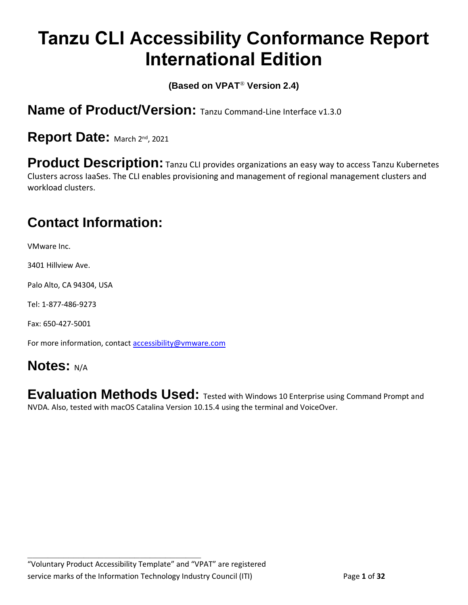# **Tanzu CLI Accessibility Conformance Report International Edition**

**(Based on VPAT**® **Version 2.4)**

**Name of Product/Version:** Tanzu Command-Line Interface v1.3.0

Report Date: March 2nd, 2021

**Product Description:** Tanzu CLI provides organizations an easy way to access Tanzu Kubernetes Clusters across IaaSes. The CLI enables provisioning and management of regional management clusters and workload clusters.

### **Contact Information:**

VMware Inc.

3401 Hillview Ave.

Palo Alto, CA 94304, USA

Tel: 1-877-486-9273

Fax: 650-427-5001

For more information, contact [accessibility@vmware.com](mailto:accessibility@vmware.com)

#### **Notes:** N/A

**Evaluation Methods Used:** Tested with Windows 10 Enterprise using Command Prompt and NVDA. Also, tested with macOS Catalina Version 10.15.4 using the terminal and VoiceOver.

**\_\_\_\_\_\_\_\_\_\_\_\_\_\_\_\_\_\_\_\_\_\_\_\_\_\_\_\_\_\_\_\_\_\_**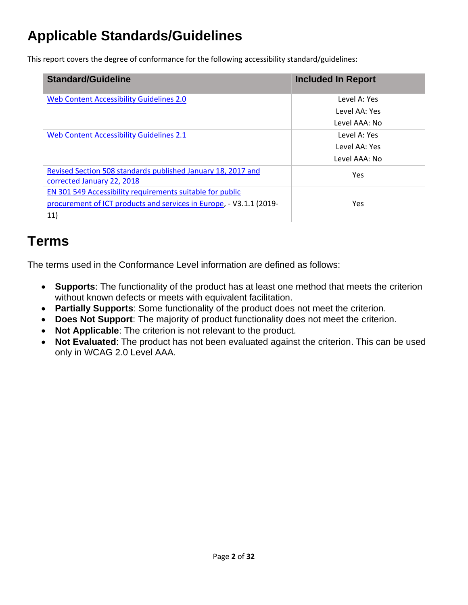### **Applicable Standards/Guidelines**

This report covers the degree of conformance for the following accessibility standard/guidelines:

| <b>Standard/Guideline</b>                                           | <b>Included In Report</b> |
|---------------------------------------------------------------------|---------------------------|
| Web Content Accessibility Guidelines 2.0                            | Level A: Yes              |
|                                                                     | Level AA: Yes             |
|                                                                     | Level AAA: No             |
| <b>Web Content Accessibility Guidelines 2.1</b>                     | Level A: Yes              |
|                                                                     | Level AA: Yes             |
|                                                                     | Level AAA: No             |
| Revised Section 508 standards published January 18, 2017 and        | Yes                       |
| corrected January 22, 2018                                          |                           |
| EN 301 549 Accessibility requirements suitable for public           |                           |
| procurement of ICT products and services in Europe, - V3.1.1 (2019- | Yes                       |
| 11)                                                                 |                           |

### **Terms**

The terms used in the Conformance Level information are defined as follows:

- **Supports**: The functionality of the product has at least one method that meets the criterion without known defects or meets with equivalent facilitation.
- **Partially Supports**: Some functionality of the product does not meet the criterion.
- **Does Not Support**: The majority of product functionality does not meet the criterion.
- **Not Applicable**: The criterion is not relevant to the product.
- **Not Evaluated**: The product has not been evaluated against the criterion. This can be used only in WCAG 2.0 Level AAA.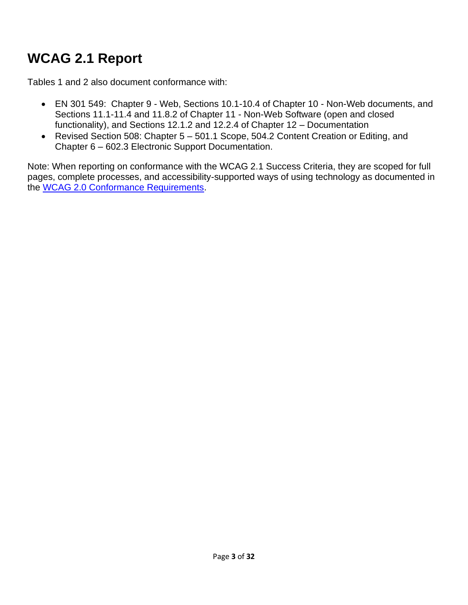### <span id="page-2-0"></span>**WCAG 2.1 Report**

Tables 1 and 2 also document conformance with:

- EN 301 549: Chapter 9 Web, Sections 10.1-10.4 of Chapter 10 Non-Web documents, and Sections 11.1-11.4 and 11.8.2 of Chapter 11 - Non-Web Software (open and closed functionality), and Sections 12.1.2 and 12.2.4 of Chapter 12 – Documentation
- Revised Section 508: Chapter 5 501.1 Scope, 504.2 Content Creation or Editing, and Chapter 6 – 602.3 Electronic Support Documentation.

Note: When reporting on conformance with the WCAG 2.1 Success Criteria, they are scoped for full pages, complete processes, and accessibility-supported ways of using technology as documented in the [WCAG 2.0 Conformance Requirements.](https://www.w3.org/TR/WCAG20/#conformance-reqs)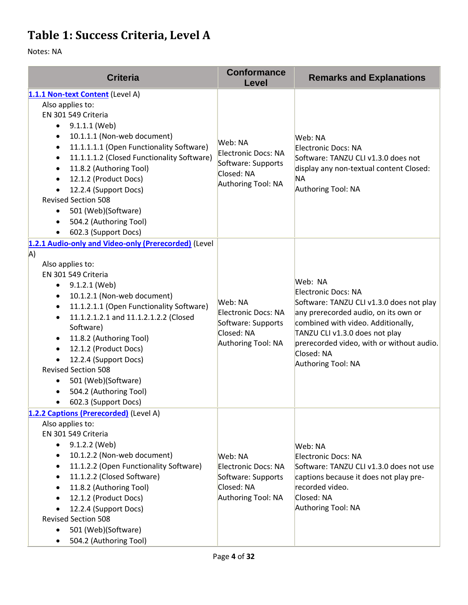### **Table 1: Success Criteria, Level A**

| <b>Criteria</b>                                                                                                                                                                                                                                                                                                                                                                                                                                                                                                        | <b>Conformance</b><br>Level                                                              | <b>Remarks and Explanations</b>                                                                                                                                                                                                                                             |
|------------------------------------------------------------------------------------------------------------------------------------------------------------------------------------------------------------------------------------------------------------------------------------------------------------------------------------------------------------------------------------------------------------------------------------------------------------------------------------------------------------------------|------------------------------------------------------------------------------------------|-----------------------------------------------------------------------------------------------------------------------------------------------------------------------------------------------------------------------------------------------------------------------------|
| 1.1.1 Non-text Content (Level A)<br>Also applies to:<br>EN 301 549 Criteria<br>9.1.1.1 (Web)<br>٠<br>10.1.1.1 (Non-web document)<br>$\bullet$<br>11.1.1.1.1 (Open Functionality Software)<br>٠<br>11.1.1.1.2 (Closed Functionality Software)<br>٠<br>11.8.2 (Authoring Tool)<br>٠<br>12.1.2 (Product Docs)<br>٠<br>12.2.4 (Support Docs)<br>$\bullet$<br><b>Revised Section 508</b><br>501 (Web)(Software)<br>$\bullet$<br>504.2 (Authoring Tool)<br>$\bullet$<br>602.3 (Support Docs)                                 | Web: NA<br>Electronic Docs: NA<br>Software: Supports<br>Closed: NA<br>Authoring Tool: NA | Web: NA<br>Electronic Docs: NA<br>Software: TANZU CLI v1.3.0 does not<br>display any non-textual content Closed:<br>ΝA<br>Authoring Tool: NA                                                                                                                                |
| 1.2.1 Audio-only and Video-only (Prerecorded) (Level<br>A)<br>Also applies to:<br>EN 301 549 Criteria<br>9.1.2.1 (Web)<br>$\bullet$<br>10.1.2.1 (Non-web document)<br>٠<br>11.1.2.1.1 (Open Functionality Software)<br>$\bullet$<br>11.1.2.1.2.1 and 11.1.2.1.2.2 (Closed<br>$\bullet$<br>Software)<br>11.8.2 (Authoring Tool)<br>$\bullet$<br>12.1.2 (Product Docs)<br>$\bullet$<br>12.2.4 (Support Docs)<br><b>Revised Section 508</b><br>501 (Web)(Software)<br>٠<br>504.2 (Authoring Tool)<br>602.3 (Support Docs) | Web: NA<br>Electronic Docs: NA<br>Software: Supports<br>Closed: NA<br>Authoring Tool: NA | Web: NA<br>Electronic Docs: NA<br>Software: TANZU CLI v1.3.0 does not play<br>any prerecorded audio, on its own or<br>combined with video. Additionally,<br>TANZU CLI v1.3.0 does not play<br>prerecorded video, with or without audio.<br>Closed: NA<br>Authoring Tool: NA |
| 1.2.2 Captions (Prerecorded) (Level A)<br>Also applies to:<br>EN 301 549 Criteria<br>9.1.2.2 (Web)<br>$\bullet$<br>10.1.2.2 (Non-web document)<br>٠<br>11.1.2.2 (Open Functionality Software)<br>$\bullet$<br>11.1.2.2 (Closed Software)<br>$\bullet$<br>11.8.2 (Authoring Tool)<br>$\bullet$<br>12.1.2 (Product Docs)<br>$\bullet$<br>12.2.4 (Support Docs)<br><b>Revised Section 508</b><br>501 (Web)(Software)<br>$\bullet$<br>504.2 (Authoring Tool)                                                               | Web: NA<br>Electronic Docs: NA<br>Software: Supports<br>Closed: NA<br>Authoring Tool: NA | Web: NA<br>Electronic Docs: NA<br>Software: TANZU CLI v1.3.0 does not use<br>captions because it does not play pre-<br>recorded video.<br>Closed: NA<br>Authoring Tool: NA                                                                                                  |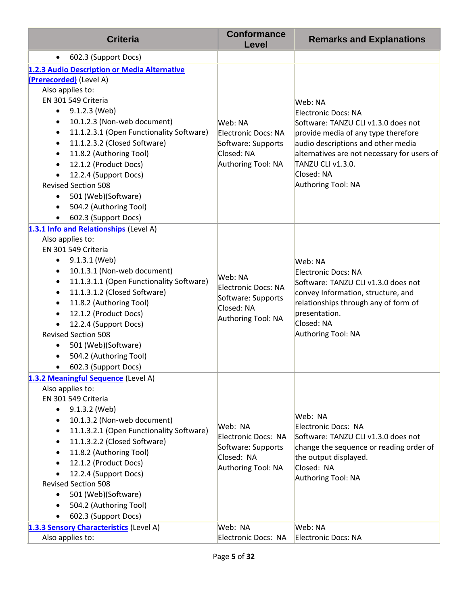| <b>Criteria</b>                                                          | <b>Conformance</b><br><b>Level</b> | <b>Remarks and Explanations</b>                                                                                                    |
|--------------------------------------------------------------------------|------------------------------------|------------------------------------------------------------------------------------------------------------------------------------|
| 602.3 (Support Docs)<br>$\bullet$                                        |                                    |                                                                                                                                    |
| 1.2.3 Audio Description or Media Alternative                             |                                    |                                                                                                                                    |
| (Prerecorded) (Level A)                                                  |                                    |                                                                                                                                    |
| Also applies to:                                                         |                                    |                                                                                                                                    |
| EN 301 549 Criteria                                                      |                                    | Web: NA                                                                                                                            |
| 9.1.2.3 (Web)<br>$\bullet$                                               |                                    | Electronic Docs: NA                                                                                                                |
| 10.1.2.3 (Non-web document)<br>$\bullet$                                 | Web: NA                            | Software: TANZU CLI v1.3.0 does not                                                                                                |
| 11.1.2.3.1 (Open Functionality Software)<br>$\bullet$                    | Electronic Docs: NA                | provide media of any type therefore                                                                                                |
| 11.1.2.3.2 (Closed Software)<br>$\bullet$                                | Software: Supports                 | audio descriptions and other media                                                                                                 |
| 11.8.2 (Authoring Tool)                                                  | Closed: NA                         | alternatives are not necessary for users of                                                                                        |
| 12.1.2 (Product Docs)<br>$\bullet$                                       | Authoring Tool: NA                 | TANZU CLI v1.3.0.                                                                                                                  |
| 12.2.4 (Support Docs)                                                    |                                    | Closed: NA                                                                                                                         |
| <b>Revised Section 508</b>                                               |                                    | Authoring Tool: NA                                                                                                                 |
| 501 (Web)(Software)<br>٠                                                 |                                    |                                                                                                                                    |
| 504.2 (Authoring Tool)                                                   |                                    |                                                                                                                                    |
| 602.3 (Support Docs)                                                     |                                    |                                                                                                                                    |
| 1.3.1 Info and Relationships (Level A)<br>Also applies to:               |                                    |                                                                                                                                    |
| EN 301 549 Criteria                                                      |                                    |                                                                                                                                    |
| 9.1.3.1 (Web)<br>٠                                                       |                                    | Web: NA                                                                                                                            |
| 10.1.3.1 (Non-web document)<br>٠                                         |                                    | Electronic Docs: NA                                                                                                                |
| 11.1.3.1.1 (Open Functionality Software)<br>$\bullet$                    | Web: NA                            | Software: TANZU CLI v1.3.0 does not<br>convey Information, structure, and<br>relationships through any of form of<br>presentation. |
| 11.1.3.1.2 (Closed Software)<br>$\bullet$                                | Electronic Docs: NA                |                                                                                                                                    |
| 11.8.2 (Authoring Tool)<br>$\bullet$                                     | Software: Supports                 |                                                                                                                                    |
| 12.1.2 (Product Docs)                                                    | Closed: NA                         |                                                                                                                                    |
| 12.2.4 (Support Docs)                                                    | Authoring Tool: NA                 | Closed: NA                                                                                                                         |
| <b>Revised Section 508</b>                                               |                                    | Authoring Tool: NA                                                                                                                 |
| 501 (Web)(Software)                                                      |                                    |                                                                                                                                    |
| 504.2 (Authoring Tool)                                                   |                                    |                                                                                                                                    |
| 602.3 (Support Docs)                                                     |                                    |                                                                                                                                    |
| 1.3.2 Meaningful Sequence (Level A)                                      |                                    |                                                                                                                                    |
| Also applies to:                                                         |                                    |                                                                                                                                    |
| EN 301 549 Criteria                                                      |                                    |                                                                                                                                    |
| 9.1.3.2 (Web)<br>$\bullet$                                               |                                    | Web: NA                                                                                                                            |
| 10.1.3.2 (Non-web document)<br>$\bullet$                                 | Web: NA                            | Electronic Docs: NA                                                                                                                |
| 11.1.3.2.1 (Open Functionality Software)<br>11.1.3.2.2 (Closed Software) | Electronic Docs: NA                | Software: TANZU CLI v1.3.0 does not                                                                                                |
| 11.8.2 (Authoring Tool)                                                  | Software: Supports                 | change the sequence or reading order of                                                                                            |
| 12.1.2 (Product Docs)                                                    | Closed: NA                         | the output displayed.                                                                                                              |
| 12.2.4 (Support Docs)                                                    | Authoring Tool: NA                 | Closed: NA                                                                                                                         |
| <b>Revised Section 508</b>                                               |                                    | Authoring Tool: NA                                                                                                                 |
| 501 (Web)(Software)<br>٠                                                 |                                    |                                                                                                                                    |
| 504.2 (Authoring Tool)                                                   |                                    |                                                                                                                                    |
| 602.3 (Support Docs)                                                     |                                    |                                                                                                                                    |
| 1.3.3 Sensory Characteristics (Level A)                                  | Web: NA                            | Web: NA                                                                                                                            |
| Also applies to:                                                         | Electronic Docs: NA                | Electronic Docs: NA                                                                                                                |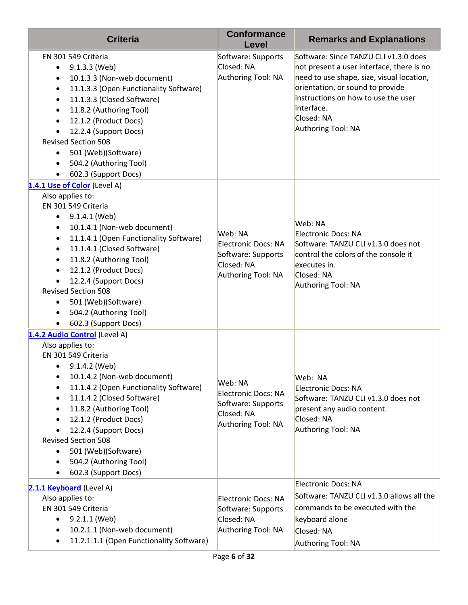| <b>Criteria</b>                                                                                                                                                                                                                                                                                                                                                                                                                                                                        | <b>Conformance</b><br><b>Level</b>                                                              | <b>Remarks and Explanations</b>                                                                                                                                                                                                                              |
|----------------------------------------------------------------------------------------------------------------------------------------------------------------------------------------------------------------------------------------------------------------------------------------------------------------------------------------------------------------------------------------------------------------------------------------------------------------------------------------|-------------------------------------------------------------------------------------------------|--------------------------------------------------------------------------------------------------------------------------------------------------------------------------------------------------------------------------------------------------------------|
| EN 301 549 Criteria<br>9.1.3.3 (Web)<br>$\bullet$<br>10.1.3.3 (Non-web document)<br>٠<br>11.1.3.3 (Open Functionality Software)<br>$\bullet$<br>11.1.3.3 (Closed Software)<br>$\bullet$<br>11.8.2 (Authoring Tool)<br>$\bullet$<br>12.1.2 (Product Docs)<br>$\bullet$<br>12.2.4 (Support Docs)<br>$\bullet$<br><b>Revised Section 508</b><br>501 (Web)(Software)<br>504.2 (Authoring Tool)<br>$\bullet$<br>602.3 (Support Docs)<br>$\bullet$                                           | Software: Supports<br>Closed: NA<br>Authoring Tool: NA                                          | Software: Since TANZU CLI v1.3.0 does<br>not present a user interface, there is no<br>need to use shape, size, visual location,<br>orientation, or sound to provide<br>instructions on how to use the user<br>interface.<br>Closed: NA<br>Authoring Tool: NA |
| 1.4.1 Use of Color (Level A)<br>Also applies to:<br>EN 301 549 Criteria<br>9.1.4.1 (Web)<br>٠<br>10.1.4.1 (Non-web document)<br>٠<br>11.1.4.1 (Open Functionality Software)<br>$\bullet$<br>11.1.4.1 (Closed Software)<br>$\bullet$<br>11.8.2 (Authoring Tool)<br>$\bullet$<br>12.1.2 (Product Docs)<br>٠<br>12.2.4 (Support Docs)<br><b>Revised Section 508</b><br>501 (Web)(Software)<br>$\bullet$<br>504.2 (Authoring Tool)<br>$\bullet$<br>602.3 (Support Docs)<br>٠               | Web: NA<br><b>Electronic Docs: NA</b><br>Software: Supports<br>Closed: NA<br>Authoring Tool: NA | Web: NA<br>Electronic Docs: NA<br>Software: TANZU CLI v1.3.0 does not<br>control the colors of the console it<br>executes in.<br>Closed: NA<br>Authoring Tool: NA                                                                                            |
| 1.4.2 Audio Control (Level A)<br>Also applies to:<br>EN 301 549 Criteria<br>9.1.4.2 (Web)<br>$\bullet$<br>10.1.4.2 (Non-web document)<br>٠<br>11.1.4.2 (Open Functionality Software)<br>٠<br>11.1.4.2 (Closed Software)<br>$\bullet$<br>11.8.2 (Authoring Tool)<br>$\bullet$<br>12.1.2 (Product Docs)<br>٠<br>12.2.4 (Support Docs)<br>$\bullet$<br><b>Revised Section 508</b><br>501 (Web)(Software)<br>٠<br>504.2 (Authoring Tool)<br>$\bullet$<br>602.3 (Support Docs)<br>$\bullet$ | Web: NA<br><b>Electronic Docs: NA</b><br>Software: Supports<br>Closed: NA<br>Authoring Tool: NA | Web: NA<br>Electronic Docs: NA<br>Software: TANZU CLI v1.3.0 does not<br>present any audio content.<br>Closed: NA<br>Authoring Tool: NA                                                                                                                      |
| 2.1.1 Keyboard (Level A)<br>Also applies to:<br>EN 301 549 Criteria<br>9.2.1.1 (Web)<br>٠<br>10.2.1.1 (Non-web document)<br>٠<br>11.2.1.1.1 (Open Functionality Software)<br>$\bullet$                                                                                                                                                                                                                                                                                                 | <b>Electronic Docs: NA</b><br>Software: Supports<br>Closed: NA<br>Authoring Tool: NA            | Electronic Docs: NA<br>Software: TANZU CLI v1.3.0 allows all the<br>commands to be executed with the<br>keyboard alone<br>Closed: NA<br>Authoring Tool: NA                                                                                                   |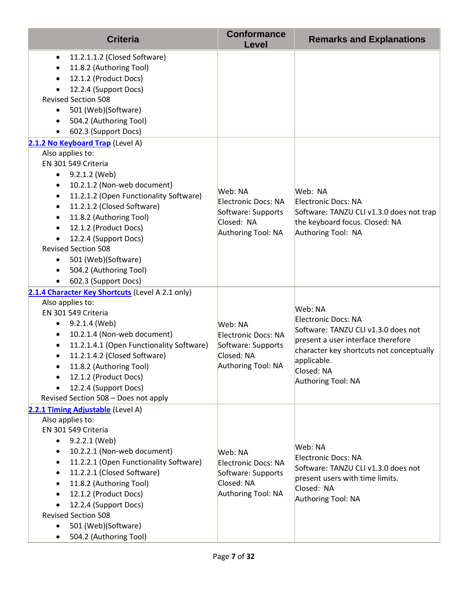| <b>Criteria</b>                                                                                                                                                                                                                                                                                                                                                                                                                        | <b>Conformance</b><br>Level                                                              | <b>Remarks and Explanations</b>                                                                                                                                                                            |
|----------------------------------------------------------------------------------------------------------------------------------------------------------------------------------------------------------------------------------------------------------------------------------------------------------------------------------------------------------------------------------------------------------------------------------------|------------------------------------------------------------------------------------------|------------------------------------------------------------------------------------------------------------------------------------------------------------------------------------------------------------|
| 11.2.1.1.2 (Closed Software)<br>$\bullet$<br>11.8.2 (Authoring Tool)<br>12.1.2 (Product Docs)<br>12.2.4 (Support Docs)<br><b>Revised Section 508</b><br>501 (Web)(Software)<br>$\bullet$<br>504.2 (Authoring Tool)<br>٠<br>602.3 (Support Docs)<br>٠                                                                                                                                                                                   |                                                                                          |                                                                                                                                                                                                            |
| 2.1.2 No Keyboard Trap (Level A)                                                                                                                                                                                                                                                                                                                                                                                                       |                                                                                          |                                                                                                                                                                                                            |
| Also applies to:<br>EN 301 549 Criteria<br>9.2.1.2 (Web)<br>$\bullet$<br>10.2.1.2 (Non-web document)<br>$\bullet$<br>11.2.1.2 (Open Functionality Software)<br>$\bullet$<br>11.2.1.2 (Closed Software)<br>$\bullet$<br>11.8.2 (Authoring Tool)<br>$\bullet$<br>12.1.2 (Product Docs)<br>$\bullet$<br>12.2.4 (Support Docs)<br><b>Revised Section 508</b><br>501 (Web)(Software)<br>٠<br>504.2 (Authoring Tool)<br>602.3 (Support Docs) | Web: NA<br>Electronic Docs: NA<br>Software: Supports<br>Closed: NA<br>Authoring Tool: NA | Web: NA<br>Electronic Docs: NA<br>Software: TANZU CLI v1.3.0 does not trap<br>the keyboard focus. Closed: NA<br>Authoring Tool: NA                                                                         |
| 2.1.4 Character Key Shortcuts (Level A 2.1 only)<br>Also applies to:<br>EN 301 549 Criteria<br>9.2.1.4 (Web)<br>$\bullet$<br>10.2.1.4 (Non-web document)<br>٠<br>11.2.1.4.1 (Open Functionality Software)<br>$\bullet$<br>11.2.1.4.2 (Closed Software)<br>$\bullet$<br>11.8.2 (Authoring Tool)<br>12.1.2 (Product Docs)<br>$\bullet$<br>12.2.4 (Support Docs)<br>Revised Section 508 - Does not apply                                  | Web: NA<br>Electronic Docs: NA<br>Software: Supports<br>Closed: NA<br>Authoring Tool: NA | Web: NA<br>Electronic Docs: NA<br>Software: TANZU CLI v1.3.0 does not<br>present a user interface therefore<br>character key shortcuts not conceptually<br>applicable.<br>Closed: NA<br>Authoring Tool: NA |
| 2.2.1 Timing Adjustable (Level A)<br>Also applies to:<br>EN 301 549 Criteria<br>9.2.2.1 (Web)<br>٠<br>10.2.2.1 (Non-web document)<br>٠<br>11.2.2.1 (Open Functionality Software)<br>$\bullet$<br>11.2.2.1 (Closed Software)<br>$\bullet$<br>11.8.2 (Authoring Tool)<br>$\bullet$<br>12.1.2 (Product Docs)<br>12.2.4 (Support Docs)<br><b>Revised Section 508</b><br>501 (Web)(Software)<br>504.2 (Authoring Tool)                      | Web: NA<br>Electronic Docs: NA<br>Software: Supports<br>Closed: NA<br>Authoring Tool: NA | Web: NA<br>Electronic Docs: NA<br>Software: TANZU CLI v1.3.0 does not<br>present users with time limits.<br>Closed: NA<br>Authoring Tool: NA                                                               |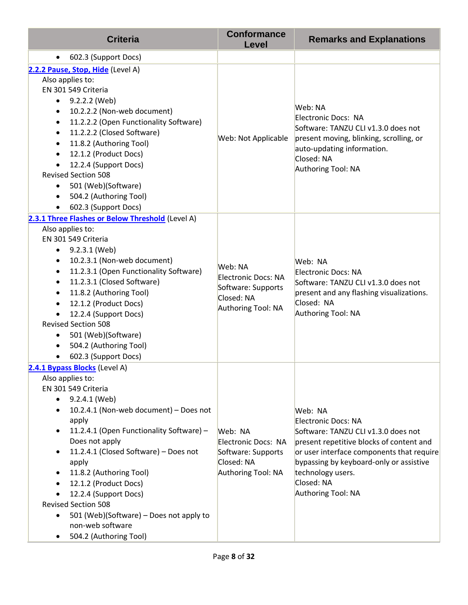| <b>Criteria</b>                                                                                                                                                                                                                                                                                                                                                                                                                                                                                 | <b>Conformance</b><br><b>Level</b>                                                              | <b>Remarks and Explanations</b>                                                                                                                                                                                                                                           |
|-------------------------------------------------------------------------------------------------------------------------------------------------------------------------------------------------------------------------------------------------------------------------------------------------------------------------------------------------------------------------------------------------------------------------------------------------------------------------------------------------|-------------------------------------------------------------------------------------------------|---------------------------------------------------------------------------------------------------------------------------------------------------------------------------------------------------------------------------------------------------------------------------|
| 602.3 (Support Docs)<br>$\bullet$                                                                                                                                                                                                                                                                                                                                                                                                                                                               |                                                                                                 |                                                                                                                                                                                                                                                                           |
| 2.2.2 Pause, Stop, Hide (Level A)<br>Also applies to:<br>EN 301 549 Criteria<br>9.2.2.2 (Web)<br>$\bullet$<br>10.2.2.2 (Non-web document)<br>٠<br>11.2.2.2 (Open Functionality Software)<br>$\bullet$<br>11.2.2.2 (Closed Software)<br>11.8.2 (Authoring Tool)<br>12.1.2 (Product Docs)<br>12.2.4 (Support Docs)<br><b>Revised Section 508</b><br>501 (Web)(Software)<br>$\bullet$<br>504.2 (Authoring Tool)<br>602.3 (Support Docs)                                                            | Web: Not Applicable                                                                             | Web: NA<br>Electronic Docs: NA<br>Software: TANZU CLI v1.3.0 does not<br>present moving, blinking, scrolling, or<br>auto-updating information.<br>Closed: NA<br>Authoring Tool: NA                                                                                        |
| 2.3.1 Three Flashes or Below Threshold (Level A)<br>Also applies to:<br>EN 301 549 Criteria<br>9.2.3.1 (Web)<br>٠<br>10.2.3.1 (Non-web document)<br>$\bullet$<br>11.2.3.1 (Open Functionality Software)<br>$\bullet$<br>11.2.3.1 (Closed Software)<br>$\bullet$<br>11.8.2 (Authoring Tool)<br>$\bullet$<br>12.1.2 (Product Docs)<br>12.2.4 (Support Docs)<br><b>Revised Section 508</b><br>501 (Web)(Software)<br>504.2 (Authoring Tool)<br>602.3 (Support Docs)                                | Web: NA<br><b>Electronic Docs: NA</b><br>Software: Supports<br>Closed: NA<br>Authoring Tool: NA | Web: NA<br>Electronic Docs: NA<br>Software: TANZU CLI v1.3.0 does not<br>present and any flashing visualizations.<br>Closed: NA<br>Authoring Tool: NA                                                                                                                     |
| 2.4.1 Bypass Blocks (Level A)<br>Also applies to:<br>EN 301 549 Criteria<br>9.2.4.1 (Web)<br>$\bullet$<br>10.2.4.1 (Non-web document) - Does not<br>٠<br>apply<br>11.2.4.1 (Open Functionality Software) -<br>Does not apply<br>11.2.4.1 (Closed Software) - Does not<br>$\bullet$<br>apply<br>11.8.2 (Authoring Tool)<br>12.1.2 (Product Docs)<br>12.2.4 (Support Docs)<br><b>Revised Section 508</b><br>501 (Web)(Software) - Does not apply to<br>non-web software<br>504.2 (Authoring Tool) | Web: NA<br>Electronic Docs: NA<br>Software: Supports<br>Closed: NA<br>Authoring Tool: NA        | Web: NA<br><b>Electronic Docs: NA</b><br>Software: TANZU CLI v1.3.0 does not<br>present repetitive blocks of content and<br>or user interface components that require<br>bypassing by keyboard-only or assistive<br>technology users.<br>Closed: NA<br>Authoring Tool: NA |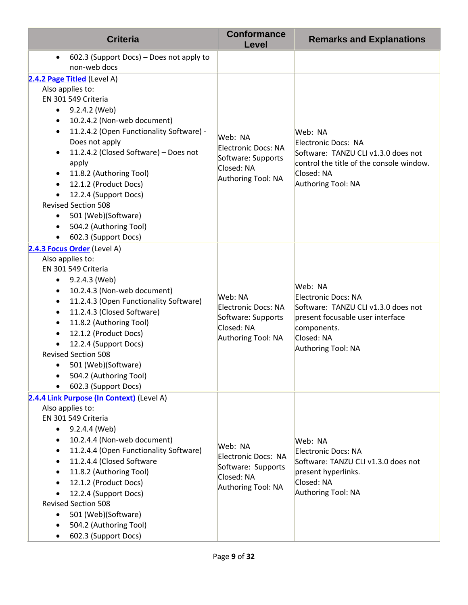| <b>Criteria</b>                                                       | <b>Conformance</b><br>Level | <b>Remarks and Explanations</b>                            |
|-----------------------------------------------------------------------|-----------------------------|------------------------------------------------------------|
| 602.3 (Support Docs) – Does not apply to<br>$\bullet$<br>non-web docs |                             |                                                            |
| 2.4.2 Page Titled (Level A)                                           |                             |                                                            |
| Also applies to:                                                      |                             |                                                            |
| EN 301 549 Criteria                                                   |                             |                                                            |
| 9.2.4.2 (Web)<br>$\bullet$                                            |                             |                                                            |
| 10.2.4.2 (Non-web document)<br>$\bullet$                              |                             |                                                            |
| 11.2.4.2 (Open Functionality Software) -<br>$\bullet$                 | Web: NA                     | Web: NA                                                    |
| Does not apply                                                        | Electronic Docs: NA         | Electronic Docs: NA                                        |
| 11.2.4.2 (Closed Software) - Does not<br>$\bullet$                    | Software: Supports          | Software: TANZU CLI v1.3.0 does not                        |
| apply<br>11.8.2 (Authoring Tool)                                      | Closed: NA                  | control the title of the console window.<br>Closed: NA     |
| $\bullet$<br>12.1.2 (Product Docs)<br>$\bullet$                       | Authoring Tool: NA          | Authoring Tool: NA                                         |
| 12.2.4 (Support Docs)                                                 |                             |                                                            |
| <b>Revised Section 508</b>                                            |                             |                                                            |
| 501 (Web)(Software)                                                   |                             |                                                            |
| 504.2 (Authoring Tool)<br>$\bullet$                                   |                             |                                                            |
| 602.3 (Support Docs)                                                  |                             |                                                            |
| 2.4.3 Focus Order (Level A)                                           |                             |                                                            |
| Also applies to:                                                      |                             |                                                            |
| EN 301 549 Criteria                                                   |                             | Web: NA<br>Electronic Docs: NA                             |
| 9.2.4.3 (Web)<br>٠                                                    |                             |                                                            |
| 10.2.4.3 (Non-web document)<br>$\bullet$                              | Web: NA                     |                                                            |
| 11.2.4.3 (Open Functionality Software)<br>$\bullet$                   | Electronic Docs: NA         | Software: TANZU CLI v1.3.0 does not                        |
| 11.2.4.3 (Closed Software)<br>$\bullet$                               | Software: Supports          | present focusable user interface                           |
| 11.8.2 (Authoring Tool)<br>$\bullet$<br>12.1.2 (Product Docs)         | Closed: NA                  | components.                                                |
| 12.2.4 (Support Docs)                                                 | Authoring Tool: NA          | Closed: NA                                                 |
| <b>Revised Section 508</b>                                            |                             | Authoring Tool: NA                                         |
| 501 (Web)(Software)<br>$\bullet$                                      |                             |                                                            |
| 504.2 (Authoring Tool)                                                |                             |                                                            |
| 602.3 (Support Docs)                                                  |                             |                                                            |
| 2.4.4 Link Purpose (In Context) (Level A)                             |                             |                                                            |
| Also applies to:                                                      |                             |                                                            |
| EN 301 549 Criteria                                                   |                             | Web: NA<br>Electronic Docs: NA                             |
| 9.2.4.4 (Web)<br>$\bullet$                                            |                             |                                                            |
| 10.2.4.4 (Non-web document)                                           | Web: NA                     |                                                            |
| 11.2.4.4 (Open Functionality Software)                                | Electronic Docs: NA         |                                                            |
| 11.2.4.4 (Closed Software<br>$\bullet$<br>11.8.2 (Authoring Tool)     | Software: Supports          | Software: TANZU CLI v1.3.0 does not<br>present hyperlinks. |
| 12.1.2 (Product Docs)                                                 | Closed: NA                  | Closed: NA                                                 |
| 12.2.4 (Support Docs)                                                 | Authoring Tool: NA          | Authoring Tool: NA                                         |
| <b>Revised Section 508</b>                                            |                             |                                                            |
| 501 (Web)(Software)                                                   |                             |                                                            |
| 504.2 (Authoring Tool)                                                |                             |                                                            |
| 602.3 (Support Docs)                                                  |                             |                                                            |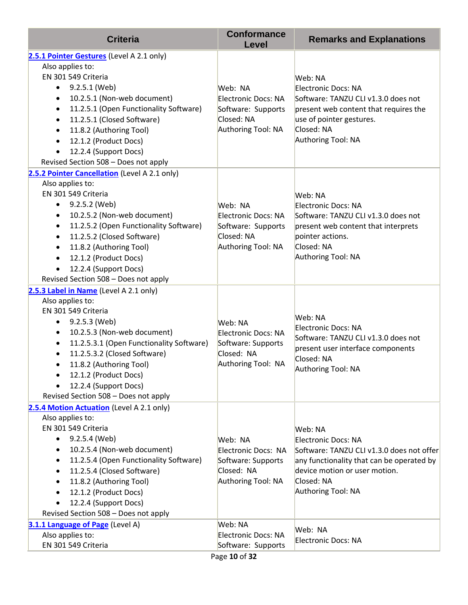| <b>Criteria</b>                                            | <b>Conformance</b><br>Level | <b>Remarks and Explanations</b>           |
|------------------------------------------------------------|-----------------------------|-------------------------------------------|
| 2.5.1 Pointer Gestures (Level A 2.1 only)                  |                             |                                           |
| Also applies to:                                           |                             |                                           |
| EN 301 549 Criteria                                        |                             | Web: NA                                   |
| 9.2.5.1 (Web)<br>$\bullet$                                 | Web: NA                     | Electronic Docs: NA                       |
| 10.2.5.1 (Non-web document)<br>$\bullet$                   | Electronic Docs: NA         | Software: TANZU CLI v1.3.0 does not       |
| 11.2.5.1 (Open Functionality Software)<br>$\bullet$        | Software: Supports          | present web content that requires the     |
| 11.2.5.1 (Closed Software)                                 | Closed: NA                  | use of pointer gestures.                  |
| 11.8.2 (Authoring Tool)                                    | Authoring Tool: NA          | Closed: NA                                |
| 12.1.2 (Product Docs)                                      |                             | Authoring Tool: NA                        |
| 12.2.4 (Support Docs)                                      |                             |                                           |
| Revised Section 508 - Does not apply                       |                             |                                           |
| 2.5.2 Pointer Cancellation (Level A 2.1 only)              |                             |                                           |
| Also applies to:                                           |                             |                                           |
| EN 301 549 Criteria                                        |                             | Web: NA                                   |
| 9.2.5.2 (Web)<br>$\bullet$                                 | Web: NA                     | Electronic Docs: NA                       |
| 10.2.5.2 (Non-web document)<br>$\bullet$                   | Electronic Docs: NA         | Software: TANZU CLI v1.3.0 does not       |
| 11.2.5.2 (Open Functionality Software)<br>$\bullet$        | Software: Supports          | present web content that interprets       |
| 11.2.5.2 (Closed Software)<br>$\bullet$                    | Closed: NA                  | pointer actions.                          |
| 11.8.2 (Authoring Tool)<br>$\bullet$                       | Authoring Tool: NA          | Closed: NA<br>Authoring Tool: NA          |
| 12.1.2 (Product Docs)                                      |                             |                                           |
| 12.2.4 (Support Docs)                                      |                             |                                           |
| Revised Section 508 - Does not apply                       |                             |                                           |
| 2.5.3 Label in Name (Level A 2.1 only)<br>Also applies to: |                             |                                           |
| EN 301 549 Criteria                                        |                             |                                           |
| 9.2.5.3 (Web)<br>٠                                         | Web: NA                     | Web: NA                                   |
| 10.2.5.3 (Non-web document)<br>$\bullet$                   | Electronic Docs: NA         | Electronic Docs: NA                       |
| 11.2.5.3.1 (Open Functionality Software)                   | Software: Supports          | Software: TANZU CLI v1.3.0 does not       |
| 11.2.5.3.2 (Closed Software)                               | Closed: NA                  | present user interface components         |
| 11.8.2 (Authoring Tool)                                    | Authoring Tool: NA          | Closed: NA                                |
| 12.1.2 (Product Docs)                                      |                             | Authoring Tool: NA                        |
| 12.2.4 (Support Docs)                                      |                             |                                           |
| Revised Section 508 - Does not apply                       |                             |                                           |
| 2.5.4 Motion Actuation (Level A 2.1 only)                  |                             |                                           |
| Also applies to:                                           |                             |                                           |
| EN 301 549 Criteria                                        |                             | Web: NA                                   |
| 9.2.5.4 (Web)                                              | Web: NA                     | Electronic Docs: NA                       |
| 10.2.5.4 (Non-web document)                                | Electronic Docs: NA         | Software: TANZU CLI v1.3.0 does not offer |
| 11.2.5.4 (Open Functionality Software)                     | Software: Supports          | any functionality that can be operated by |
| 11.2.5.4 (Closed Software)                                 | Closed: NA                  | device motion or user motion.             |
| 11.8.2 (Authoring Tool)                                    | Authoring Tool: NA          | Closed: NA                                |
| 12.1.2 (Product Docs)                                      |                             | Authoring Tool: NA                        |
| 12.2.4 (Support Docs)                                      |                             |                                           |
| Revised Section 508 - Does not apply                       |                             |                                           |
| 3.1.1 Language of Page (Level A)                           | Web: NA                     | Web: NA                                   |
| Also applies to:                                           | Electronic Docs: NA         | Electronic Docs: NA                       |
| EN 301 549 Criteria                                        | Software: Supports          |                                           |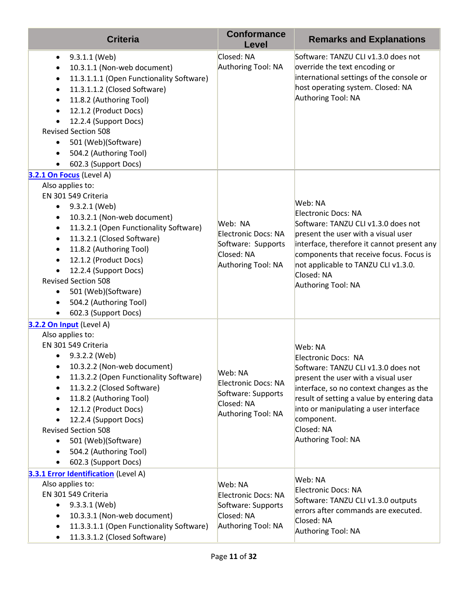| <b>Criteria</b>                                                                                                                                                                                                                                                                                                                                                                                                                                      | <b>Conformance</b><br>Level                                                                     | <b>Remarks and Explanations</b>                                                                                                                                                                                                                                                                  |
|------------------------------------------------------------------------------------------------------------------------------------------------------------------------------------------------------------------------------------------------------------------------------------------------------------------------------------------------------------------------------------------------------------------------------------------------------|-------------------------------------------------------------------------------------------------|--------------------------------------------------------------------------------------------------------------------------------------------------------------------------------------------------------------------------------------------------------------------------------------------------|
| 9.3.1.1 (Web)<br>$\bullet$<br>10.3.1.1 (Non-web document)<br>$\bullet$<br>11.3.1.1.1 (Open Functionality Software)<br>$\bullet$<br>11.3.1.1.2 (Closed Software)<br>$\bullet$<br>11.8.2 (Authoring Tool)<br>$\bullet$<br>12.1.2 (Product Docs)<br>$\bullet$<br>12.2.4 (Support Docs)<br>$\bullet$<br><b>Revised Section 508</b><br>501 (Web)(Software)<br>$\bullet$<br>504.2 (Authoring Tool)<br>$\bullet$<br>602.3 (Support Docs)<br>$\bullet$       | Closed: NA<br>Authoring Tool: NA                                                                | Software: TANZU CLI v1.3.0 does not<br>override the text encoding or<br>international settings of the console or<br>host operating system. Closed: NA<br>Authoring Tool: NA                                                                                                                      |
| 3.2.1 On Focus (Level A)<br>Also applies to:                                                                                                                                                                                                                                                                                                                                                                                                         |                                                                                                 |                                                                                                                                                                                                                                                                                                  |
| EN 301 549 Criteria<br>9.3.2.1 (Web)<br>$\bullet$<br>10.3.2.1 (Non-web document)<br>$\bullet$<br>11.3.2.1 (Open Functionality Software)<br>$\bullet$<br>11.3.2.1 (Closed Software)<br>$\bullet$<br>11.8.2 (Authoring Tool)<br>$\bullet$<br>12.1.2 (Product Docs)<br>$\bullet$<br>12.2.4 (Support Docs)<br>$\bullet$<br><b>Revised Section 508</b><br>501 (Web)(Software)<br>$\bullet$<br>504.2 (Authoring Tool)<br>$\bullet$<br>602.3 (Support Docs) | Web: NA<br>Electronic Docs: NA<br>Software: Supports<br>Closed: NA<br>Authoring Tool: NA        | Web: NA<br>Electronic Docs: NA<br>Software: TANZU CLI v1.3.0 does not<br>present the user with a visual user<br>interface, therefore it cannot present any<br>components that receive focus. Focus is<br>not applicable to TANZU CLI v1.3.0.<br>Closed: NA<br>Authoring Tool: NA                 |
| 3.2.2 On Input (Level A)<br>Also applies to:                                                                                                                                                                                                                                                                                                                                                                                                         |                                                                                                 |                                                                                                                                                                                                                                                                                                  |
| EN 301 549 Criteria<br>9.3.2.2 (Web)<br>10.3.2.2 (Non-web document)<br>$\bullet$<br>11.3.2.2 (Open Functionality Software)<br>٠<br>11.3.2.2 (Closed Software)<br>٠<br>11.8.2 (Authoring Tool)<br>$\bullet$<br>12.1.2 (Product Docs)<br>$\bullet$<br>12.2.4 (Support Docs)<br>$\bullet$<br><b>Revised Section 508</b><br>501 (Web)(Software)<br>$\bullet$<br>504.2 (Authoring Tool)<br>$\bullet$<br>602.3 (Support Docs)<br>$\bullet$                 | Web: NA<br><b>Electronic Docs: NA</b><br>Software: Supports<br>Closed: NA<br>Authoring Tool: NA | Web: NA<br>Electronic Docs: NA<br>Software: TANZU CLI v1.3.0 does not<br>present the user with a visual user<br>interface, so no context changes as the<br>result of setting a value by entering data<br>into or manipulating a user interface<br>component.<br>Closed: NA<br>Authoring Tool: NA |
| 3.3.1 Error Identification (Level A)<br>Also applies to:                                                                                                                                                                                                                                                                                                                                                                                             | Web: NA                                                                                         | Web: NA                                                                                                                                                                                                                                                                                          |
| EN 301 549 Criteria                                                                                                                                                                                                                                                                                                                                                                                                                                  | <b>Electronic Docs: NA</b>                                                                      | Electronic Docs: NA                                                                                                                                                                                                                                                                              |
| 9.3.3.1 (Web)<br>$\bullet$                                                                                                                                                                                                                                                                                                                                                                                                                           | Software: Supports                                                                              | Software: TANZU CLI v1.3.0 outputs<br>errors after commands are executed.                                                                                                                                                                                                                        |
| 10.3.3.1 (Non-web document)<br>$\bullet$                                                                                                                                                                                                                                                                                                                                                                                                             | Closed: NA<br>Authoring Tool: NA                                                                | Closed: NA                                                                                                                                                                                                                                                                                       |
| 11.3.3.1.1 (Open Functionality Software)<br>$\bullet$<br>11.3.3.1.2 (Closed Software)<br>$\bullet$                                                                                                                                                                                                                                                                                                                                                   |                                                                                                 | Authoring Tool: NA                                                                                                                                                                                                                                                                               |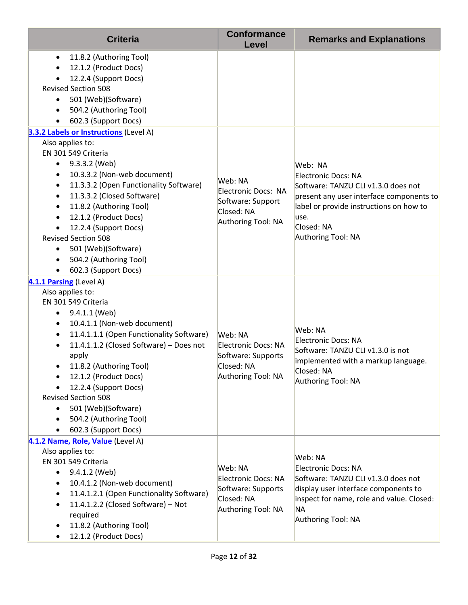| <b>Criteria</b>                                                                                                                                                                                                                                                                                                                                                                                                                                                                                | <b>Conformance</b><br>Level                                                                     | <b>Remarks and Explanations</b>                                                                                                                                                                           |
|------------------------------------------------------------------------------------------------------------------------------------------------------------------------------------------------------------------------------------------------------------------------------------------------------------------------------------------------------------------------------------------------------------------------------------------------------------------------------------------------|-------------------------------------------------------------------------------------------------|-----------------------------------------------------------------------------------------------------------------------------------------------------------------------------------------------------------|
| 11.8.2 (Authoring Tool)<br>$\bullet$<br>12.1.2 (Product Docs)<br>$\bullet$<br>12.2.4 (Support Docs)<br><b>Revised Section 508</b><br>501 (Web)(Software)<br>$\bullet$<br>504.2 (Authoring Tool)<br>$\bullet$<br>602.3 (Support Docs)<br>$\bullet$                                                                                                                                                                                                                                              |                                                                                                 |                                                                                                                                                                                                           |
| 3.3.2 Labels or Instructions (Level A)                                                                                                                                                                                                                                                                                                                                                                                                                                                         |                                                                                                 |                                                                                                                                                                                                           |
| Also applies to:<br>EN 301 549 Criteria<br>9.3.3.2 (Web)<br>$\bullet$<br>10.3.3.2 (Non-web document)<br>$\bullet$<br>11.3.3.2 (Open Functionality Software)<br>$\bullet$<br>11.3.3.2 (Closed Software)<br>$\bullet$<br>11.8.2 (Authoring Tool)<br>$\bullet$<br>12.1.2 (Product Docs)<br>$\bullet$<br>12.2.4 (Support Docs)<br>$\bullet$<br><b>Revised Section 508</b><br>501 (Web)(Software)<br>٠<br>504.2 (Authoring Tool)<br>$\bullet$<br>602.3 (Support Docs)<br>$\bullet$                  | Web: NA<br>Electronic Docs: NA<br>Software: Support<br>Closed: NA<br>Authoring Tool: NA         | Web: NA<br>Electronic Docs: NA<br>Software: TANZU CLI v1.3.0 does not<br>present any user interface components to<br>label or provide instructions on how to<br>luse.<br>Closed: NA<br>Authoring Tool: NA |
| 4.1.1 Parsing (Level A)<br>Also applies to:<br>EN 301 549 Criteria<br>9.4.1.1 (Web)<br>٠<br>10.4.1.1 (Non-web document)<br>$\bullet$<br>11.4.1.1.1 (Open Functionality Software)<br>$\bullet$<br>11.4.1.1.2 (Closed Software) - Does not<br>$\bullet$<br>apply<br>11.8.2 (Authoring Tool)<br>12.1.2 (Product Docs)<br>$\bullet$<br>12.2.4 (Support Docs)<br><b>Revised Section 508</b><br>501 (Web)(Software)<br>$\bullet$<br>504.2 (Authoring Tool)<br>$\bullet$<br>602.3 (Support Docs)<br>٠ | Web: NA<br>Electronic Docs: NA<br>Software: Supports<br>Closed: NA<br>Authoring Tool: NA        | Web: NA<br>Electronic Docs: NA<br>Software: TANZU CLI v1.3.0 is not<br>implemented with a markup language.<br>Closed: NA<br>Authoring Tool: NA                                                            |
| 4.1.2 Name, Role, Value (Level A)<br>Also applies to:<br>EN 301 549 Criteria<br>9.4.1.2 (Web)<br>$\bullet$<br>10.4.1.2 (Non-web document)<br>$\bullet$<br>11.4.1.2.1 (Open Functionality Software)<br>$\bullet$<br>11.4.1.2.2 (Closed Software) - Not<br>$\bullet$<br>required<br>11.8.2 (Authoring Tool)<br>$\bullet$<br>12.1.2 (Product Docs)<br>٠                                                                                                                                           | Web: NA<br><b>Electronic Docs: NA</b><br>Software: Supports<br>Closed: NA<br>Authoring Tool: NA | Web: NA<br>Electronic Docs: NA<br>Software: TANZU CLI v1.3.0 does not<br>display user interface components to<br>inspect for name, role and value. Closed:<br><b>NA</b><br>Authoring Tool: NA             |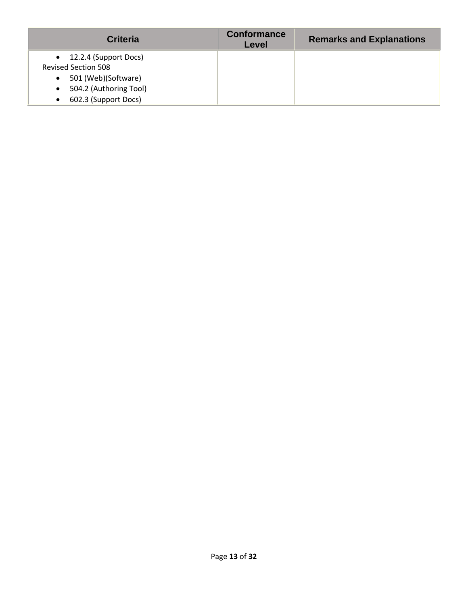| <b>Criteria</b>                     | <b>Conformance</b><br>Level | <b>Remarks and Explanations</b> |
|-------------------------------------|-----------------------------|---------------------------------|
| $\bullet$ 12.2.4 (Support Docs)     |                             |                                 |
| <b>Revised Section 508</b>          |                             |                                 |
| 501 (Web)(Software)<br>$\bullet$    |                             |                                 |
| 504.2 (Authoring Tool)<br>$\bullet$ |                             |                                 |
| 602.3 (Support Docs)<br>$\bullet$   |                             |                                 |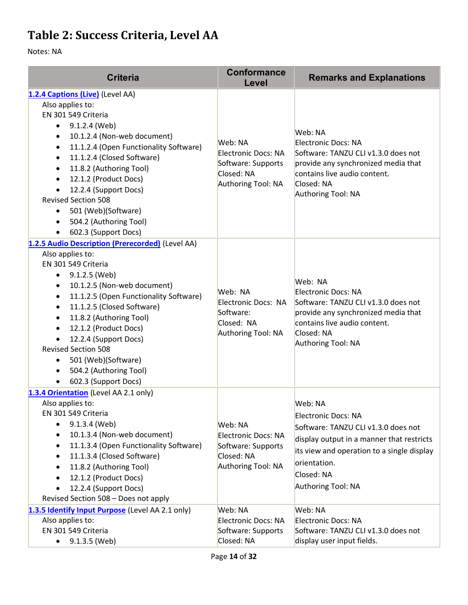### **Table 2: Success Criteria, Level AA**

| <b>Criteria</b>                                                                                                                                                                                                                                                                                                                                                                                                                                                               | <b>Conformance</b><br>Level                                                              | <b>Remarks and Explanations</b>                                                                                                                                                                                      |
|-------------------------------------------------------------------------------------------------------------------------------------------------------------------------------------------------------------------------------------------------------------------------------------------------------------------------------------------------------------------------------------------------------------------------------------------------------------------------------|------------------------------------------------------------------------------------------|----------------------------------------------------------------------------------------------------------------------------------------------------------------------------------------------------------------------|
| 1.2.4 Captions (Live) (Level AA)<br>Also applies to:<br>EN 301 549 Criteria<br>9.1.2.4 (Web)<br>$\bullet$<br>10.1.2.4 (Non-web document)<br>$\bullet$<br>11.1.2.4 (Open Functionality Software)<br>$\bullet$<br>11.1.2.4 (Closed Software)<br>$\bullet$<br>11.8.2 (Authoring Tool)<br>12.1.2 (Product Docs)<br>12.2.4 (Support Docs)<br><b>Revised Section 508</b><br>501 (Web)(Software)<br>$\bullet$<br>504.2 (Authoring Tool)<br>602.3 (Support Docs)<br>$\bullet$         | Web: NA<br>Electronic Docs: NA<br>Software: Supports<br>Closed: NA<br>Authoring Tool: NA | Web: NA<br>Electronic Docs: NA<br>Software: TANZU CLI v1.3.0 does not<br>provide any synchronized media that<br>contains live audio content.<br>Closed: NA<br>Authoring Tool: NA                                     |
| 1.2.5 Audio Description (Prerecorded) (Level AA)<br>Also applies to:<br>EN 301 549 Criteria<br>9.1.2.5 (Web)<br>$\bullet$<br>10.1.2.5 (Non-web document)<br>$\bullet$<br>11.1.2.5 (Open Functionality Software)<br>$\bullet$<br>11.1.2.5 (Closed Software)<br>$\bullet$<br>11.8.2 (Authoring Tool)<br>12.1.2 (Product Docs)<br>$\bullet$<br>12.2.4 (Support Docs)<br><b>Revised Section 508</b><br>501 (Web)(Software)<br>٠<br>504.2 (Authoring Tool)<br>602.3 (Support Docs) | Web: NA<br>Electronic Docs: NA<br>Software:<br>Closed: NA<br>Authoring Tool: NA          | Web: NA<br>Electronic Docs: NA<br>Software: TANZU CLI v1.3.0 does not<br>provide any synchronized media that<br>contains live audio content.<br>Closed: NA<br>Authoring Tool: NA                                     |
| 1.3.4 Orientation (Level AA 2.1 only)<br>Also applies to:<br>EN 301 549 Criteria<br>9.1.3.4 (Web)<br>10.1.3.4 (Non-web document)<br>11.1.3.4 (Open Functionality Software)<br>$\bullet$<br>11.1.3.4 (Closed Software)<br>11.8.2 (Authoring Tool)<br>12.1.2 (Product Docs)<br>12.2.4 (Support Docs)<br>Revised Section 508 - Does not apply                                                                                                                                    | Web: NA<br>Electronic Docs: NA<br>Software: Supports<br>Closed: NA<br>Authoring Tool: NA | Web: NA<br>Electronic Docs: NA<br>Software: TANZU CLI v1.3.0 does not<br>display output in a manner that restricts<br>its view and operation to a single display<br>orientation.<br>Closed: NA<br>Authoring Tool: NA |
| 1.3.5 Identify Input Purpose (Level AA 2.1 only)<br>Also applies to:<br>EN 301 549 Criteria<br>9.1.3.5 (Web)                                                                                                                                                                                                                                                                                                                                                                  | Web: NA<br>Electronic Docs: NA<br>Software: Supports<br>Closed: NA                       | Web: NA<br>Electronic Docs: NA<br>Software: TANZU CLI v1.3.0 does not<br>display user input fields.                                                                                                                  |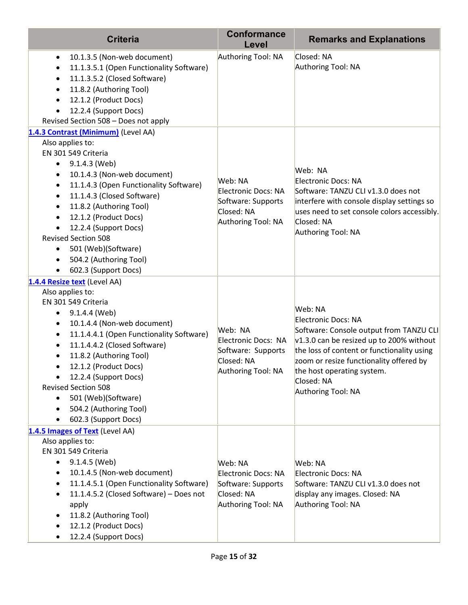| <b>Criteria</b>                                                                                                                                                                                                                                                                                                                                                                                                                                                                 | <b>Conformance</b><br>Level                                                                     | <b>Remarks and Explanations</b>                                                                                                                                                                                                                                                          |
|---------------------------------------------------------------------------------------------------------------------------------------------------------------------------------------------------------------------------------------------------------------------------------------------------------------------------------------------------------------------------------------------------------------------------------------------------------------------------------|-------------------------------------------------------------------------------------------------|------------------------------------------------------------------------------------------------------------------------------------------------------------------------------------------------------------------------------------------------------------------------------------------|
| 10.1.3.5 (Non-web document)<br>$\bullet$<br>11.1.3.5.1 (Open Functionality Software)<br>$\bullet$<br>11.1.3.5.2 (Closed Software)<br>$\bullet$<br>11.8.2 (Authoring Tool)<br>$\bullet$<br>12.1.2 (Product Docs)<br>$\bullet$<br>12.2.4 (Support Docs)<br>Revised Section 508 - Does not apply                                                                                                                                                                                   | Authoring Tool: NA                                                                              | Closed: NA<br>Authoring Tool: NA                                                                                                                                                                                                                                                         |
| 1.4.3 Contrast (Minimum) (Level AA)                                                                                                                                                                                                                                                                                                                                                                                                                                             |                                                                                                 |                                                                                                                                                                                                                                                                                          |
| Also applies to:<br>EN 301 549 Criteria<br>9.1.4.3 (Web)<br>$\bullet$<br>10.1.4.3 (Non-web document)<br>$\bullet$<br>11.1.4.3 (Open Functionality Software)<br>$\bullet$<br>11.1.4.3 (Closed Software)<br>$\bullet$<br>11.8.2 (Authoring Tool)<br>$\bullet$<br>12.1.2 (Product Docs)<br>$\bullet$<br>12.2.4 (Support Docs)<br><b>Revised Section 508</b><br>501 (Web)(Software)<br>٠<br>504.2 (Authoring Tool)<br>602.3 (Support Docs)                                          | Web: NA<br><b>Electronic Docs: NA</b><br>Software: Supports<br>Closed: NA<br>Authoring Tool: NA | Web: NA<br>Electronic Docs: NA<br>Software: TANZU CLI v1.3.0 does not<br>interfere with console display settings so<br>uses need to set console colors accessibly.<br>Closed: NA<br>Authoring Tool: NA                                                                                   |
| 1.4.4 Resize text (Level AA)<br>Also applies to:<br>EN 301 549 Criteria<br>9.1.4.4 (Web)<br>٠<br>10.1.4.4 (Non-web document)<br>٠<br>11.1.4.4.1 (Open Functionality Software)<br>$\bullet$<br>11.1.4.4.2 (Closed Software)<br>$\bullet$<br>11.8.2 (Authoring Tool)<br>12.1.2 (Product Docs)<br>12.2.4 (Support Docs)<br>$\bullet$<br><b>Revised Section 508</b><br>501 (Web)(Software)<br>$\bullet$<br>504.2 (Authoring Tool)<br>$\bullet$<br>602.3 (Support Docs)<br>$\bullet$ | Web: NA<br>Electronic Docs: NA<br>Software: Supports<br>Closed: NA<br>Authoring Tool: NA        | Web: NA<br>Electronic Docs: NA<br>Software: Console output from TANZU CLI<br>$\sqrt{1.3.0}$ can be resized up to 200% without<br>the loss of content or functionality using<br>zoom or resize functionality offered by<br>the host operating system.<br>Closed: NA<br>Authoring Tool: NA |
| 1.4.5 Images of Text (Level AA)<br>Also applies to:<br>EN 301 549 Criteria<br>9.1.4.5 (Web)<br>$\bullet$<br>10.1.4.5 (Non-web document)<br>$\bullet$<br>11.1.4.5.1 (Open Functionality Software)<br>$\bullet$<br>11.1.4.5.2 (Closed Software) - Does not<br>$\bullet$<br>apply<br>11.8.2 (Authoring Tool)<br>$\bullet$<br>12.1.2 (Product Docs)<br>12.2.4 (Support Docs)<br>$\bullet$                                                                                           | Web: NA<br>Electronic Docs: NA<br>Software: Supports<br>Closed: NA<br>Authoring Tool: NA        | Web: NA<br>Electronic Docs: NA<br>Software: TANZU CLI v1.3.0 does not<br>display any images. Closed: NA<br>Authoring Tool: NA                                                                                                                                                            |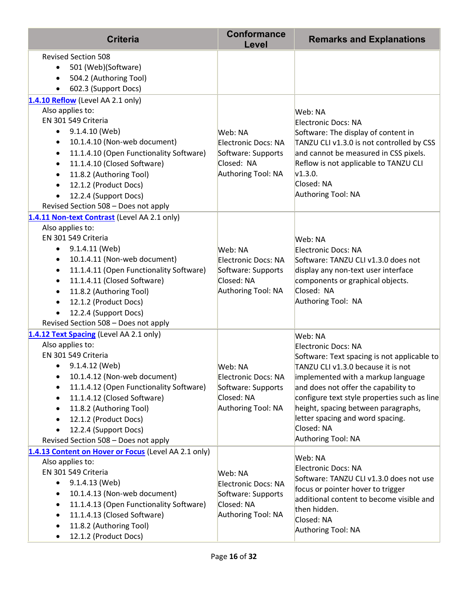| <b>Criteria</b>                                                                                                                                                                                                                                                                                                                                                                                                | <b>Conformance</b><br>Level                                                                     | <b>Remarks and Explanations</b>                                                                                                                                                                                                                                                                                                                                  |
|----------------------------------------------------------------------------------------------------------------------------------------------------------------------------------------------------------------------------------------------------------------------------------------------------------------------------------------------------------------------------------------------------------------|-------------------------------------------------------------------------------------------------|------------------------------------------------------------------------------------------------------------------------------------------------------------------------------------------------------------------------------------------------------------------------------------------------------------------------------------------------------------------|
| <b>Revised Section 508</b><br>501 (Web)(Software)<br>$\bullet$<br>504.2 (Authoring Tool)<br>602.3 (Support Docs)                                                                                                                                                                                                                                                                                               |                                                                                                 |                                                                                                                                                                                                                                                                                                                                                                  |
| 1.4.10 Reflow (Level AA 2.1 only)<br>Also applies to:<br>EN 301 549 Criteria<br>9.1.4.10 (Web)<br>$\bullet$<br>10.1.4.10 (Non-web document)<br>٠<br>11.1.4.10 (Open Functionality Software)<br>$\bullet$<br>11.1.4.10 (Closed Software)<br>$\bullet$<br>11.8.2 (Authoring Tool)<br>$\bullet$<br>12.1.2 (Product Docs)<br>$\bullet$<br>12.2.4 (Support Docs)<br>Revised Section 508 - Does not apply            | Web: NA<br>Electronic Docs: NA<br>Software: Supports<br>Closed: NA<br>Authoring Tool: NA        | Web: NA<br>Electronic Docs: NA<br>Software: The display of content in<br>TANZU CLI v1.3.0 is not controlled by CSS<br>and cannot be measured in CSS pixels.<br>Reflow is not applicable to TANZU CLI<br>v1.3.0.<br>Closed: NA<br>Authoring Tool: NA                                                                                                              |
| 1.4.11 Non-text Contrast (Level AA 2.1 only)<br>Also applies to:<br>EN 301 549 Criteria<br>9.1.4.11 (Web)<br>$\bullet$<br>10.1.4.11 (Non-web document)<br>$\bullet$<br>11.1.4.11 (Open Functionality Software)<br>$\bullet$<br>11.1.4.11 (Closed Software)<br>٠<br>11.8.2 (Authoring Tool)<br>$\bullet$<br>12.1.2 (Product Docs)<br>$\bullet$<br>12.2.4 (Support Docs)<br>Revised Section 508 - Does not apply | Web: NA<br>Electronic Docs: NA<br>Software: Supports<br>Closed: NA<br>Authoring Tool: NA        | Web: NA<br>Electronic Docs: NA<br>Software: TANZU CLI v1.3.0 does not<br>display any non-text user interface<br>components or graphical objects.<br>Closed: NA<br>Authoring Tool: NA                                                                                                                                                                             |
| 1.4.12 Text Spacing (Level AA 2.1 only)<br>Also applies to:<br>EN 301 549 Criteria<br>9.1.4.12 (Web)<br>$\bullet$<br>10.1.4.12 (Non-web document)<br>$\bullet$<br>11.1.4.12 (Open Functionality Software)<br>11.1.4.12 (Closed Software)<br>$\bullet$<br>11.8.2 (Authoring Tool)<br>$\bullet$<br>12.1.2 (Product Docs)<br>$\bullet$<br>12.2.4 (Support Docs)<br>Revised Section 508 - Does not apply           | Web: NA<br><b>Electronic Docs: NA</b><br>Software: Supports<br>Closed: NA<br>Authoring Tool: NA | Web: NA<br>Electronic Docs: NA<br>Software: Text spacing is not applicable to<br>TANZU CLI v1.3.0 because it is not<br>implemented with a markup language<br>and does not offer the capability to<br>configure text style properties such as line<br>height, spacing between paragraphs,<br>letter spacing and word spacing.<br>Closed: NA<br>Authoring Tool: NA |
| 1.4.13 Content on Hover or Focus (Level AA 2.1 only)<br>Also applies to:<br>EN 301 549 Criteria<br>9.1.4.13 (Web)<br>$\bullet$<br>10.1.4.13 (Non-web document)<br>$\bullet$<br>11.1.4.13 (Open Functionality Software)<br>٠<br>11.1.4.13 (Closed Software)<br>$\bullet$<br>11.8.2 (Authoring Tool)<br>$\bullet$<br>12.1.2 (Product Docs)                                                                       | Web: NA<br><b>Electronic Docs: NA</b><br>Software: Supports<br>Closed: NA<br>Authoring Tool: NA | Web: NA<br>Electronic Docs: NA<br>Software: TANZU CLI v1.3.0 does not use<br>focus or pointer hover to trigger<br>additional content to become visible and<br>then hidden.<br>Closed: NA<br>Authoring Tool: NA                                                                                                                                                   |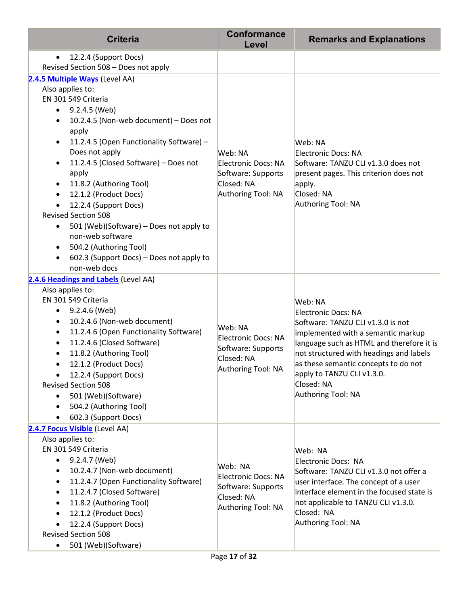| <b>Criteria</b>                                                                                                                                                                                                                                                                                                                                                                                                                                                                                                                                                                                          | <b>Conformance</b><br>Level                                                                     | <b>Remarks and Explanations</b>                                                                                                                                                                                                                                                                                    |
|----------------------------------------------------------------------------------------------------------------------------------------------------------------------------------------------------------------------------------------------------------------------------------------------------------------------------------------------------------------------------------------------------------------------------------------------------------------------------------------------------------------------------------------------------------------------------------------------------------|-------------------------------------------------------------------------------------------------|--------------------------------------------------------------------------------------------------------------------------------------------------------------------------------------------------------------------------------------------------------------------------------------------------------------------|
| 12.2.4 (Support Docs)<br>$\bullet$<br>Revised Section 508 - Does not apply                                                                                                                                                                                                                                                                                                                                                                                                                                                                                                                               |                                                                                                 |                                                                                                                                                                                                                                                                                                                    |
| 2.4.5 Multiple Ways (Level AA)<br>Also applies to:<br>EN 301 549 Criteria<br>9.2.4.5 (Web)<br>$\bullet$<br>10.2.4.5 (Non-web document) - Does not<br>٠<br>apply<br>11.2.4.5 (Open Functionality Software) -<br>Does not apply<br>11.2.4.5 (Closed Software) - Does not<br>$\bullet$<br>apply<br>11.8.2 (Authoring Tool)<br>$\bullet$<br>12.1.2 (Product Docs)<br>12.2.4 (Support Docs)<br><b>Revised Section 508</b><br>501 (Web)(Software) - Does not apply to<br>٠<br>non-web software<br>504.2 (Authoring Tool)<br>$\bullet$<br>602.3 (Support Docs) - Does not apply to<br>$\bullet$<br>non-web docs | Web: NA<br><b>Electronic Docs: NA</b><br>Software: Supports<br>Closed: NA<br>Authoring Tool: NA | Web: NA<br>Electronic Docs: NA<br>Software: TANZU CLI v1.3.0 does not<br>present pages. This criterion does not<br>apply.<br>Closed: NA<br>Authoring Tool: NA                                                                                                                                                      |
| 2.4.6 Headings and Labels (Level AA)<br>Also applies to:<br>EN 301 549 Criteria<br>9.2.4.6 (Web)<br>$\bullet$<br>10.2.4.6 (Non-web document)<br>$\bullet$<br>11.2.4.6 (Open Functionality Software)<br>$\bullet$<br>11.2.4.6 (Closed Software)<br>11.8.2 (Authoring Tool)<br>12.1.2 (Product Docs)<br>12.2.4 (Support Docs)<br><b>Revised Section 508</b><br>501 (Web)(Software)<br>504.2 (Authoring Tool)<br>$\bullet$<br>602.3 (Support Docs)                                                                                                                                                          | Web: NA<br><b>Electronic Docs: NA</b><br>Software: Supports<br>Closed: NA<br>Authoring Tool: NA | Web: NA<br><b>Electronic Docs: NA</b><br>Software: TANZU CLI v1.3.0 is not<br>implemented with a semantic markup<br>language such as HTML and therefore it is<br>not structured with headings and labels<br>as these semantic concepts to do not<br>apply to TANZU CLI v1.3.0.<br>Closed: NA<br>Authoring Tool: NA |
| 2.4.7 Focus Visible (Level AA)<br>Also applies to:<br>EN 301 549 Criteria<br>9.2.4.7 (Web)<br>10.2.4.7 (Non-web document)<br>$\bullet$<br>11.2.4.7 (Open Functionality Software)<br>$\bullet$<br>11.2.4.7 (Closed Software)<br>11.8.2 (Authoring Tool)<br>$\bullet$<br>12.1.2 (Product Docs)<br>12.2.4 (Support Docs)<br><b>Revised Section 508</b><br>501 (Web)(Software)<br>$\bullet$                                                                                                                                                                                                                  | Web: NA<br><b>Electronic Docs: NA</b><br>Software: Supports<br>Closed: NA<br>Authoring Tool: NA | Web: NA<br>Electronic Docs: NA<br>Software: TANZU CLI v1.3.0 not offer a<br>user interface. The concept of a user<br>interface element in the focused state is<br>not applicable to TANZU CLI v1.3.0.<br>Closed: NA<br>Authoring Tool: NA                                                                          |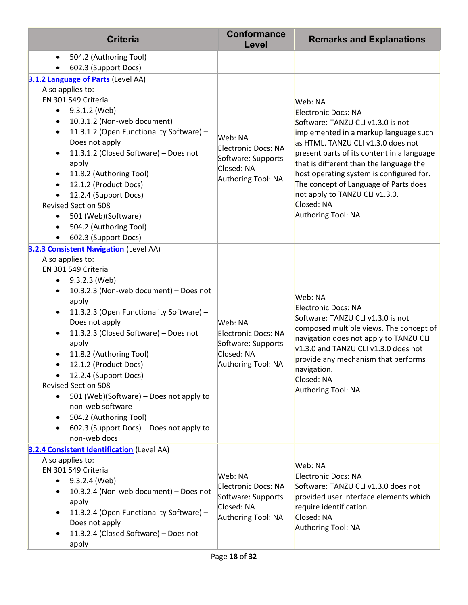| <b>Criteria</b>                                                         | <b>Conformance</b><br>Level                                                                     | <b>Remarks and Explanations</b>                                                   |
|-------------------------------------------------------------------------|-------------------------------------------------------------------------------------------------|-----------------------------------------------------------------------------------|
| 504.2 (Authoring Tool)<br>٠<br>602.3 (Support Docs)                     |                                                                                                 |                                                                                   |
| 3.1.2 Language of Parts (Level AA)                                      |                                                                                                 |                                                                                   |
| Also applies to:                                                        |                                                                                                 |                                                                                   |
| EN 301 549 Criteria                                                     |                                                                                                 | Web: NA                                                                           |
| 9.3.1.2 (Web)<br>$\bullet$                                              |                                                                                                 | Electronic Docs: NA                                                               |
| 10.3.1.2 (Non-web document)<br>٠                                        |                                                                                                 | Software: TANZU CLI v1.3.0 is not                                                 |
| 11.3.1.2 (Open Functionality Software) -<br>$\bullet$<br>Does not apply | Web: NA                                                                                         | implemented in a markup language such<br>as HTML. TANZU CLI v1.3.0 does not       |
| 11.3.1.2 (Closed Software) - Does not<br>$\bullet$                      | Electronic Docs: NA                                                                             | present parts of its content in a language                                        |
| apply                                                                   | Software: Supports                                                                              | that is different than the language the                                           |
| 11.8.2 (Authoring Tool)<br>$\bullet$                                    | Closed: NA                                                                                      | host operating system is configured for.                                          |
| 12.1.2 (Product Docs)<br>$\bullet$                                      | Authoring Tool: NA                                                                              | The concept of Language of Parts does                                             |
| 12.2.4 (Support Docs)                                                   |                                                                                                 | not apply to TANZU CLI v1.3.0.                                                    |
| <b>Revised Section 508</b>                                              |                                                                                                 | Closed: NA                                                                        |
| 501 (Web)(Software)                                                     |                                                                                                 | Authoring Tool: NA                                                                |
| 504.2 (Authoring Tool)<br>$\bullet$                                     |                                                                                                 |                                                                                   |
| 602.3 (Support Docs)<br>$\bullet$                                       |                                                                                                 |                                                                                   |
| 3.2.3 Consistent Navigation (Level AA)                                  |                                                                                                 |                                                                                   |
| Also applies to:<br>EN 301 549 Criteria                                 |                                                                                                 | Web: NA<br>Electronic Docs: NA                                                    |
| 9.3.2.3 (Web)<br>٠                                                      |                                                                                                 |                                                                                   |
| 10.3.2.3 (Non-web document) - Does not<br>٠                             |                                                                                                 |                                                                                   |
| apply                                                                   |                                                                                                 |                                                                                   |
| 11.3.2.3 (Open Functionality Software) -<br>$\bullet$                   |                                                                                                 |                                                                                   |
| Does not apply                                                          | Web: NA                                                                                         | Software: TANZU CLI v1.3.0 is not                                                 |
| 11.3.2.3 (Closed Software) - Does not<br>$\bullet$                      | Electronic Docs: NA                                                                             | composed multiple views. The concept of<br>navigation does not apply to TANZU CLI |
| apply                                                                   | Software: Supports                                                                              | v1.3.0 and TANZU CLI v1.3.0 does not                                              |
| 11.8.2 (Authoring Tool)                                                 | Closed: NA                                                                                      | provide any mechanism that performs                                               |
| 12.1.2 (Product Docs)<br>$\bullet$                                      | Authoring Tool: NA                                                                              | navigation.                                                                       |
| 12.2.4 (Support Docs)<br><b>Revised Section 508</b>                     |                                                                                                 | Closed: NA                                                                        |
| 501 (Web)(Software) - Does not apply to                                 |                                                                                                 | Authoring Tool: NA                                                                |
| non-web software                                                        |                                                                                                 |                                                                                   |
| 504.2 (Authoring Tool)<br>٠                                             |                                                                                                 |                                                                                   |
| 602.3 (Support Docs) - Does not apply to<br>$\bullet$                   |                                                                                                 |                                                                                   |
| non-web docs                                                            |                                                                                                 |                                                                                   |
| 3.2.4 Consistent Identification (Level AA)                              |                                                                                                 |                                                                                   |
| Also applies to:                                                        |                                                                                                 | Web: NA                                                                           |
| EN 301 549 Criteria                                                     | Web: NA                                                                                         | Electronic Docs: NA                                                               |
| 9.3.2.4 (Web)<br>$\bullet$<br>10.3.2.4 (Non-web document) - Does not    | Electronic Docs: NA                                                                             | Software: TANZU CLI v1.3.0 does not                                               |
| ٠<br>apply                                                              | Software: Supports<br>Closed: NA<br>require identification.<br>Authoring Tool: NA<br>Closed: NA | provided user interface elements which                                            |
| 11.3.2.4 (Open Functionality Software) -<br>$\bullet$                   |                                                                                                 |                                                                                   |
| Does not apply                                                          |                                                                                                 |                                                                                   |
| 11.3.2.4 (Closed Software) - Does not<br>٠                              |                                                                                                 | Authoring Tool: NA                                                                |
| apply                                                                   |                                                                                                 |                                                                                   |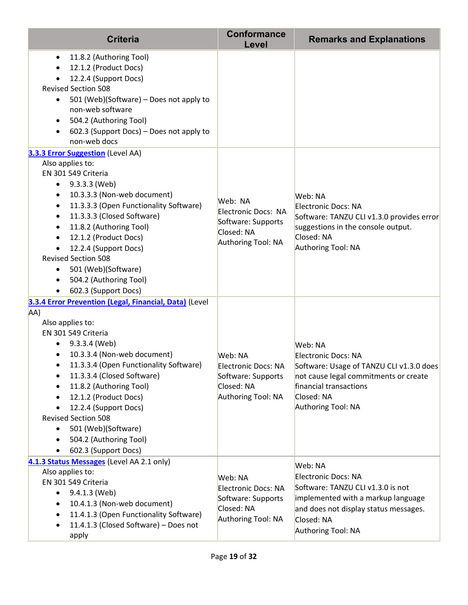| <b>Criteria</b>                                                                                                                                                                                                                                                                                                                                                                                                                                                                                                                        | <b>Conformance</b><br>Level                                                                     | <b>Remarks and Explanations</b>                                                                                                                                                        |
|----------------------------------------------------------------------------------------------------------------------------------------------------------------------------------------------------------------------------------------------------------------------------------------------------------------------------------------------------------------------------------------------------------------------------------------------------------------------------------------------------------------------------------------|-------------------------------------------------------------------------------------------------|----------------------------------------------------------------------------------------------------------------------------------------------------------------------------------------|
| 11.8.2 (Authoring Tool)<br>$\bullet$<br>12.1.2 (Product Docs)<br>$\bullet$<br>12.2.4 (Support Docs)<br><b>Revised Section 508</b><br>501 (Web)(Software) - Does not apply to<br>$\bullet$<br>non-web software<br>504.2 (Authoring Tool)<br>$\bullet$<br>602.3 (Support Docs) - Does not apply to<br>$\bullet$<br>non-web docs                                                                                                                                                                                                          |                                                                                                 |                                                                                                                                                                                        |
| <b>3.3.3 Error Suggestion</b> (Level AA)<br>Also applies to:<br>EN 301 549 Criteria<br>9.3.3.3 (Web)<br>$\bullet$<br>10.3.3.3 (Non-web document)<br>$\bullet$<br>11.3.3.3 (Open Functionality Software)<br>$\bullet$<br>11.3.3.3 (Closed Software)<br>$\bullet$<br>11.8.2 (Authoring Tool)<br>$\bullet$<br>12.1.2 (Product Docs)<br>$\bullet$<br>12.2.4 (Support Docs)<br>$\bullet$<br><b>Revised Section 508</b><br>501 (Web)(Software)<br>$\bullet$<br>504.2 (Authoring Tool)<br>$\bullet$<br>602.3 (Support Docs)<br>$\bullet$      | Web: NA<br>Electronic Docs: NA<br>Software: Supports<br>Closed: NA<br>Authoring Tool: NA        | Web: NA<br>Electronic Docs: NA<br>Software: TANZU CLI v1.3.0 provides error<br>suggestions in the console output.<br>Closed: NA<br>Authoring Tool: NA                                  |
| 3.3.4 Error Prevention (Legal, Financial, Data) (Level<br>AA)<br>Also applies to:<br>EN 301 549 Criteria<br>9.3.3.4 (Web)<br>$\bullet$<br>10.3.3.4 (Non-web document)<br>٠<br>11.3.3.4 (Open Functionality Software)<br>$\bullet$<br>11.3.3.4 (Closed Software)<br>٠<br>11.8.2 (Authoring Tool)<br>$\bullet$<br>12.1.2 (Product Docs)<br>$\bullet$<br>12.2.4 (Support Docs)<br>$\bullet$<br><b>Revised Section 508</b><br>501 (Web)(Software)<br>$\bullet$<br>504.2 (Authoring Tool)<br>$\bullet$<br>602.3 (Support Docs)<br>$\bullet$ | Web: NA<br>Electronic Docs: NA<br>Software: Supports<br>Closed: NA<br>Authoring Tool: NA        | Web: NA<br>Electronic Docs: NA<br>Software: Usage of TANZU CLI v1.3.0 does<br>not cause legal commitments or create<br>financial transactions<br>Closed: NA<br>Authoring Tool: NA      |
| 4.1.3 Status Messages (Level AA 2.1 only)<br>Also applies to:<br>EN 301 549 Criteria<br>9.4.1.3 (Web)<br>$\bullet$<br>10.4.1.3 (Non-web document)<br>$\bullet$<br>11.4.1.3 (Open Functionality Software)<br>$\bullet$<br>11.4.1.3 (Closed Software) - Does not<br>$\bullet$<br>apply                                                                                                                                                                                                                                                   | Web: NA<br><b>Electronic Docs: NA</b><br>Software: Supports<br>Closed: NA<br>Authoring Tool: NA | Web: NA<br>Electronic Docs: NA<br>Software: TANZU CLI v1.3.0 is not<br>implemented with a markup language<br>and does not display status messages.<br>Closed: NA<br>Authoring Tool: NA |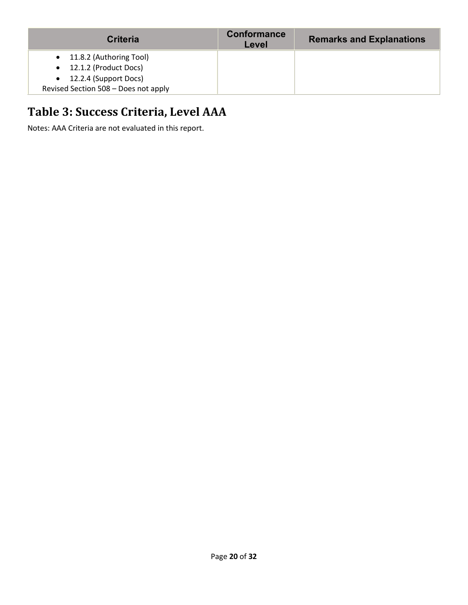| <b>Criteria</b>                      | Conformance<br>Level | <b>Remarks and Explanations</b> |
|--------------------------------------|----------------------|---------------------------------|
| • 11.8.2 (Authoring Tool)            |                      |                                 |
| • 12.1.2 (Product Docs)              |                      |                                 |
| $\bullet$ 12.2.4 (Support Docs)      |                      |                                 |
| Revised Section 508 - Does not apply |                      |                                 |

### **Table 3: Success Criteria, Level AAA**

Notes: AAA Criteria are not evaluated in this report.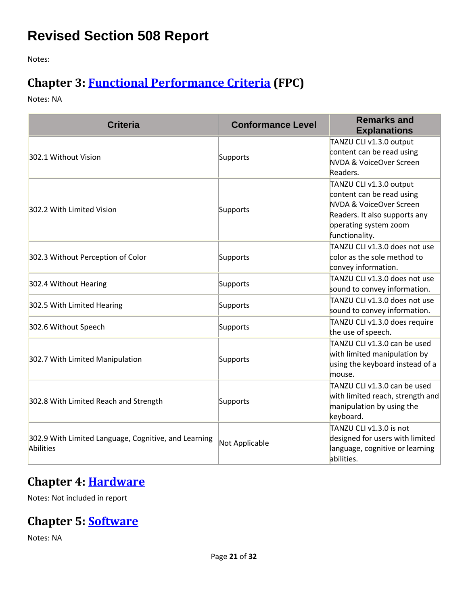### **Revised Section 508 Report**

Notes:

### **Chapter 3: [Functional Performance Criteria](https://www.access-board.gov/guidelines-and-standards/communications-and-it/about-the-ict-refresh/final-rule/text-of-the-standards-and-guidelines#302-functional-performance-criteria) (FPC)**

Notes: NA

| <b>Criteria</b>                                                   | <b>Conformance Level</b> | <b>Remarks and</b><br><b>Explanations</b>                                                                                                                   |
|-------------------------------------------------------------------|--------------------------|-------------------------------------------------------------------------------------------------------------------------------------------------------------|
| 302.1 Without Vision                                              | Supports                 | TANZU CLI v1.3.0 output<br>content can be read using<br>NVDA & VoiceOver Screen<br>Readers.                                                                 |
| 302.2 With Limited Vision                                         | Supports                 | TANZU CLI v1.3.0 output<br>content can be read using<br>NVDA & VoiceOver Screen<br>Readers. It also supports any<br>operating system zoom<br>functionality. |
| 302.3 Without Perception of Color                                 | Supports                 | TANZU CLI v1.3.0 does not use<br>color as the sole method to<br>convey information.                                                                         |
| 302.4 Without Hearing                                             | Supports                 | TANZU CLI v1.3.0 does not use<br>sound to convey information.                                                                                               |
| 302.5 With Limited Hearing                                        | Supports                 | TANZU CLI v1.3.0 does not use<br>sound to convey information.                                                                                               |
| 302.6 Without Speech                                              | Supports                 | TANZU CLI v1.3.0 does require<br>the use of speech.                                                                                                         |
| 302.7 With Limited Manipulation                                   | Supports                 | TANZU CLI v1.3.0 can be used<br>with limited manipulation by<br>using the keyboard instead of a<br>mouse.                                                   |
| 302.8 With Limited Reach and Strength                             | Supports                 | TANZU CLI v1.3.0 can be used<br>with limited reach, strength and<br>manipulation by using the<br>keyboard.                                                  |
| 302.9 With Limited Language, Cognitive, and Learning<br>Abilities | Not Applicable           | TANZU CLI v1.3.0 is not<br>designed for users with limited<br>language, cognitive or learning<br>abilities.                                                 |

#### **Chapter 4: [Hardware](https://www.access-board.gov/guidelines-and-standards/communications-and-it/about-the-ict-refresh/final-rule/text-of-the-standards-and-guidelines#401-general)**

Notes: Not included in report

#### **Chapter 5: [Software](https://www.access-board.gov/guidelines-and-standards/communications-and-it/about-the-ict-refresh/final-rule/text-of-the-standards-and-guidelines#501-general)**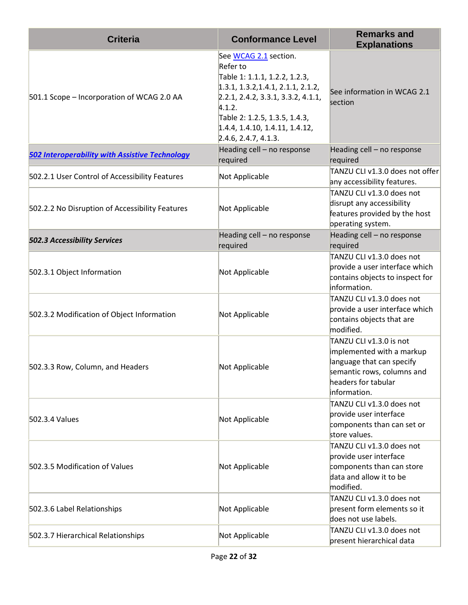| <b>Criteria</b>                                       | <b>Conformance Level</b>                                                                                                                                                                                                                            | <b>Remarks and</b><br><b>Explanations</b>                                                                                                              |
|-------------------------------------------------------|-----------------------------------------------------------------------------------------------------------------------------------------------------------------------------------------------------------------------------------------------------|--------------------------------------------------------------------------------------------------------------------------------------------------------|
| 501.1 Scope - Incorporation of WCAG 2.0 AA            | See WCAG 2.1 section.<br>Refer to<br>Table 1: 1.1.1, 1.2.2, 1.2.3,<br>1.3.1, 1.3.2, 1.4.1, 2.1.1, 2.1.2,<br>2.2.1, 2.4.2, 3.3.1, 3.3.2, 4.1.1,<br>4.1.2.<br>Table 2: 1.2.5, 1.3.5, 1.4.3,<br>1.4.4, 1.4.10, 1.4.11, 1.4.12,<br>2.4.6, 2.4.7, 4.1.3. | See information in WCAG 2.1<br>section                                                                                                                 |
| <b>502 Interoperability with Assistive Technology</b> | Heading cell - no response<br>required                                                                                                                                                                                                              | Heading cell - no response<br>required                                                                                                                 |
| 502.2.1 User Control of Accessibility Features        | Not Applicable                                                                                                                                                                                                                                      | TANZU CLI v1.3.0 does not offer<br>any accessibility features.                                                                                         |
| 502.2.2 No Disruption of Accessibility Features       | Not Applicable                                                                                                                                                                                                                                      | TANZU CLI v1.3.0 does not<br>disrupt any accessibility<br>features provided by the host<br>operating system.                                           |
| <b>502.3 Accessibility Services</b>                   | Heading cell - no response<br>required                                                                                                                                                                                                              | Heading cell - no response<br>required                                                                                                                 |
| 502.3.1 Object Information                            | Not Applicable                                                                                                                                                                                                                                      | TANZU CLI v1.3.0 does not<br>provide a user interface which<br>contains objects to inspect for<br>information.                                         |
| 502.3.2 Modification of Object Information            | Not Applicable                                                                                                                                                                                                                                      | TANZU CLI v1.3.0 does not<br>provide a user interface which<br>contains objects that are<br>modified.                                                  |
| 502.3.3 Row, Column, and Headers                      | Not Applicable                                                                                                                                                                                                                                      | TANZU CLI v1.3.0 is not<br>implemented with a markup<br>language that can specify<br>semantic rows, columns and<br>headers for tabular<br>information. |
| 502.3.4 Values                                        | Not Applicable                                                                                                                                                                                                                                      | TANZU CLI v1.3.0 does not<br>provide user interface<br>components than can set or<br>store values.                                                     |
| 502.3.5 Modification of Values                        | Not Applicable                                                                                                                                                                                                                                      | TANZU CLI v1.3.0 does not<br>provide user interface<br>components than can store<br>data and allow it to be<br>modified.                               |
| 502.3.6 Label Relationships                           | Not Applicable                                                                                                                                                                                                                                      | TANZU CLI v1.3.0 does not<br>present form elements so it<br>does not use labels.                                                                       |
| 502.3.7 Hierarchical Relationships                    | Not Applicable                                                                                                                                                                                                                                      | TANZU CLI v1.3.0 does not<br>present hierarchical data                                                                                                 |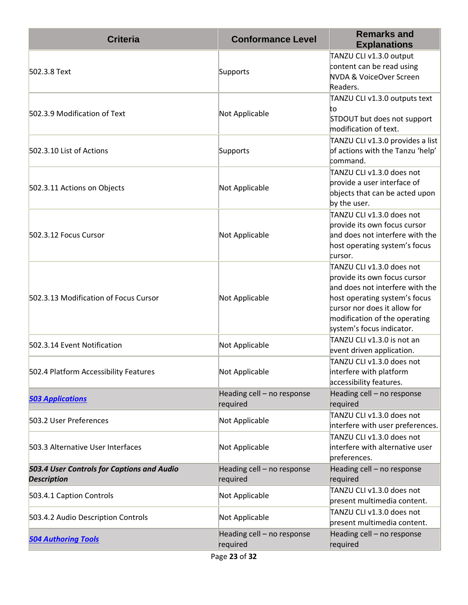| <b>Criteria</b>                                                  | <b>Conformance Level</b>               | <b>Remarks and</b><br><b>Explanations</b>                                                                                                                                                                                   |
|------------------------------------------------------------------|----------------------------------------|-----------------------------------------------------------------------------------------------------------------------------------------------------------------------------------------------------------------------------|
| 502.3.8 Text                                                     | Supports                               | TANZU CLI v1.3.0 output<br>content can be read using<br>NVDA & VoiceOver Screen<br>Readers.                                                                                                                                 |
| 502.3.9 Modification of Text                                     | Not Applicable                         | TANZU CLI v1.3.0 outputs text<br>to<br>STDOUT but does not support<br>modification of text.                                                                                                                                 |
| 502.3.10 List of Actions                                         | Supports                               | TANZU CLI v1.3.0 provides a list<br>of actions with the Tanzu 'help'<br>command.                                                                                                                                            |
| 502.3.11 Actions on Objects                                      | Not Applicable                         | TANZU CLI v1.3.0 does not<br>provide a user interface of<br>objects that can be acted upon<br>by the user.                                                                                                                  |
| 502.3.12 Focus Cursor                                            | Not Applicable                         | TANZU CLI v1.3.0 does not<br>provide its own focus cursor<br>and does not interfere with the<br>host operating system's focus<br>cursor.                                                                                    |
| 502.3.13 Modification of Focus Cursor                            | Not Applicable                         | TANZU CLI v1.3.0 does not<br>provide its own focus cursor<br>and does not interfere with the<br>host operating system's focus<br>cursor nor does it allow for<br>modification of the operating<br>system's focus indicator. |
| 502.3.14 Event Notification                                      | Not Applicable                         | TANZU CLI v1.3.0 is not an<br>event driven application.                                                                                                                                                                     |
| 502.4 Platform Accessibility Features                            | Not Applicable                         | TANZU CLI v1.3.0 does not<br>interfere with platform<br>accessibility features.                                                                                                                                             |
| <b>503 Applications</b>                                          | Heading cell - no response<br>required | Heading cell - no response<br>required                                                                                                                                                                                      |
| 503.2 User Preferences                                           | Not Applicable                         | TANZU CLI v1.3.0 does not<br>interfere with user preferences.                                                                                                                                                               |
| 503.3 Alternative User Interfaces                                | Not Applicable                         | TANZU CLI v1.3.0 does not<br>interfere with alternative user<br>preferences.                                                                                                                                                |
| 503.4 User Controls for Captions and Audio<br><b>Description</b> | Heading cell - no response<br>required | Heading cell - no response<br>required                                                                                                                                                                                      |
| 503.4.1 Caption Controls                                         | Not Applicable                         | TANZU CLI v1.3.0 does not<br>present multimedia content.                                                                                                                                                                    |
| 503.4.2 Audio Description Controls                               | Not Applicable                         | TANZU CLI v1.3.0 does not<br>present multimedia content.                                                                                                                                                                    |
| <b>504 Authoring Tools</b>                                       | Heading cell - no response<br>required | Heading cell - no response<br>required                                                                                                                                                                                      |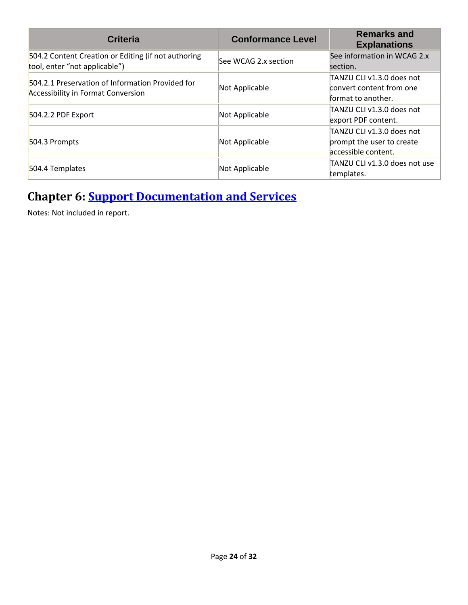| <b>Criteria</b>                                                                               | <b>Conformance Level</b> | <b>Remarks and</b><br><b>Explanations</b>                                     |
|-----------------------------------------------------------------------------------------------|--------------------------|-------------------------------------------------------------------------------|
| 504.2 Content Creation or Editing (if not authoring<br>tool, enter "not applicable")          | See WCAG 2.x section     | See information in WCAG 2.x<br>section.                                       |
| 504.2.1 Preservation of Information Provided for<br><b>Accessibility in Format Conversion</b> | Not Applicable           | TANZU CLI v1.3.0 does not<br>convert content from one<br>format to another.   |
| 504.2.2 PDF Export                                                                            | Not Applicable           | TANZU CLI v1.3.0 does not<br>export PDF content.                              |
| 504.3 Prompts                                                                                 | Not Applicable           | TANZU CLI v1.3.0 does not<br>prompt the user to create<br>accessible content. |
| 504.4 Templates                                                                               | Not Applicable           | TANZU CLI v1.3.0 does not use<br>templates.                                   |

#### **Chapter 6: [Support Documentation and Services](https://www.access-board.gov/guidelines-and-standards/communications-and-it/about-the-ict-refresh/final-rule/text-of-the-standards-and-guidelines#601-general)**

Notes: Not included in report.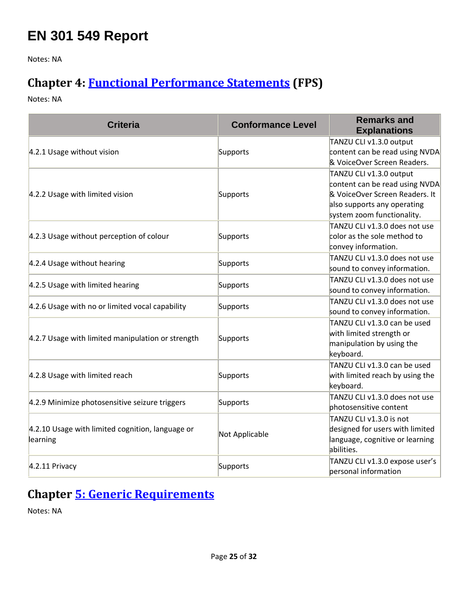### **EN 301 549 Report**

Notes: NA

#### **Chapter 4: [Functional Performance Statements](https://www.etsi.org/deliver/etsi_en/301500_301599/301549/03.01.01_60/en_301549v030101p.pdf#%5B%7B%22num%22%3A38%2C%22gen%22%3A0%7D%2C%7B%22name%22%3A%22XYZ%22%7D%2C54%2C747%2C0%5D) (FPS)**

Notes: NA

| <b>Criteria</b>                                              | <b>Conformance Level</b> | <b>Remarks and</b><br><b>Explanations</b> |
|--------------------------------------------------------------|--------------------------|-------------------------------------------|
|                                                              |                          | TANZU CLI v1.3.0 output                   |
| 4.2.1 Usage without vision                                   | Supports                 | content can be read using NVDA            |
|                                                              |                          | & VoiceOver Screen Readers.               |
|                                                              |                          | TANZU CLI v1.3.0 output                   |
|                                                              |                          | content can be read using NVDA            |
| 4.2.2 Usage with limited vision                              | Supports                 | & VoiceOver Screen Readers. It            |
|                                                              |                          | also supports any operating               |
|                                                              |                          | system zoom functionality.                |
|                                                              |                          | TANZU CLI v1.3.0 does not use             |
| 4.2.3 Usage without perception of colour                     | Supports                 | color as the sole method to               |
|                                                              |                          | convey information.                       |
|                                                              |                          | TANZU CLI v1.3.0 does not use             |
| 4.2.4 Usage without hearing                                  | Supports                 | sound to convey information.              |
|                                                              |                          | TANZU CLI v1.3.0 does not use             |
| 4.2.5 Usage with limited hearing                             | Supports                 | sound to convey information.              |
|                                                              | Supports                 | TANZU CLI v1.3.0 does not use             |
| 4.2.6 Usage with no or limited vocal capability              |                          | sound to convey information.              |
|                                                              |                          | TANZU CLI v1.3.0 can be used              |
|                                                              |                          | with limited strength or                  |
| 4.2.7 Usage with limited manipulation or strength            | Supports                 | manipulation by using the                 |
|                                                              |                          | keyboard.                                 |
|                                                              |                          | TANZU CLI v1.3.0 can be used              |
| 4.2.8 Usage with limited reach                               | Supports                 | with limited reach by using the           |
|                                                              |                          | keyboard.                                 |
|                                                              |                          | TANZU CLI v1.3.0 does not use             |
| 4.2.9 Minimize photosensitive seizure triggers               | Supports                 | photosensitive content                    |
|                                                              |                          | TANZU CLI v1.3.0 is not                   |
| 4.2.10 Usage with limited cognition, language or<br>learning |                          | designed for users with limited           |
|                                                              | Not Applicable           | language, cognitive or learning           |
|                                                              |                          | abilities.                                |
|                                                              |                          | TANZU CLI v1.3.0 expose user's            |
| $4.2.11$ Privacy                                             | Supports                 | personal information                      |

### **Chapter [5: Generic Requirements](https://www.etsi.org/deliver/etsi_en/301500_301599/301549/03.01.01_60/en_301549v030101p.pdf#%5B%7B%22num%22%3A45%2C%22gen%22%3A0%7D%2C%7B%22name%22%3A%22XYZ%22%7D%2C54%2C747%2C0%5D)**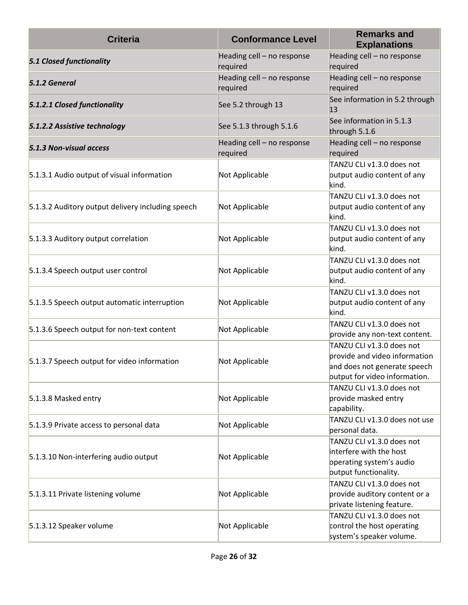| <b>Criteria</b>                                   | <b>Conformance Level</b>               | <b>Remarks and</b><br><b>Explanations</b>                                                                                   |
|---------------------------------------------------|----------------------------------------|-----------------------------------------------------------------------------------------------------------------------------|
| <b>5.1 Closed functionality</b>                   | Heading cell - no response<br>required | Heading cell - no response<br>required                                                                                      |
| 5.1.2 General                                     | Heading cell - no response<br>required | Heading cell - no response<br>required                                                                                      |
| 5.1.2.1 Closed functionality                      | See 5.2 through 13                     | See information in 5.2 through<br>13                                                                                        |
| 5.1.2.2 Assistive technology                      | See 5.1.3 through 5.1.6                | See information in 5.1.3<br>through 5.1.6                                                                                   |
| 5.1.3 Non-visual access                           | Heading cell - no response<br>required | Heading cell - no response<br>required                                                                                      |
| 5.1.3.1 Audio output of visual information        | Not Applicable                         | TANZU CLI v1.3.0 does not<br>output audio content of any<br>kind.                                                           |
| 5.1.3.2 Auditory output delivery including speech | Not Applicable                         | TANZU CLI v1.3.0 does not<br>output audio content of any<br>kind.                                                           |
| 5.1.3.3 Auditory output correlation               | Not Applicable                         | TANZU CLI v1.3.0 does not<br>output audio content of any<br>kind.                                                           |
| 5.1.3.4 Speech output user control                | Not Applicable                         | TANZU CLI v1.3.0 does not<br>output audio content of any<br>kind.                                                           |
| 5.1.3.5 Speech output automatic interruption      | Not Applicable                         | TANZU CLI v1.3.0 does not<br>output audio content of any<br>kind.                                                           |
| 5.1.3.6 Speech output for non-text content        | Not Applicable                         | TANZU CLI v1.3.0 does not<br>provide any non-text content.                                                                  |
| 5.1.3.7 Speech output for video information       | Not Applicable                         | TANZU CLI v1.3.0 does not<br>provide and video information<br>and does not generate speech<br>output for video information. |
| 5.1.3.8 Masked entry                              | Not Applicable                         | TANZU CLI v1.3.0 does not<br>provide masked entry<br>capability.                                                            |
| 5.1.3.9 Private access to personal data           | Not Applicable                         | TANZU CLI v1.3.0 does not use<br>personal data.                                                                             |
| 5.1.3.10 Non-interfering audio output             | Not Applicable                         | TANZU CLI v1.3.0 does not<br>interfere with the host<br>operating system's audio<br>output functionality.                   |
| 5.1.3.11 Private listening volume                 | Not Applicable                         | TANZU CLI v1.3.0 does not<br>provide auditory content or a<br>private listening feature.                                    |
| 5.1.3.12 Speaker volume                           | Not Applicable                         | TANZU CLI v1.3.0 does not<br>control the host operating<br>system's speaker volume.                                         |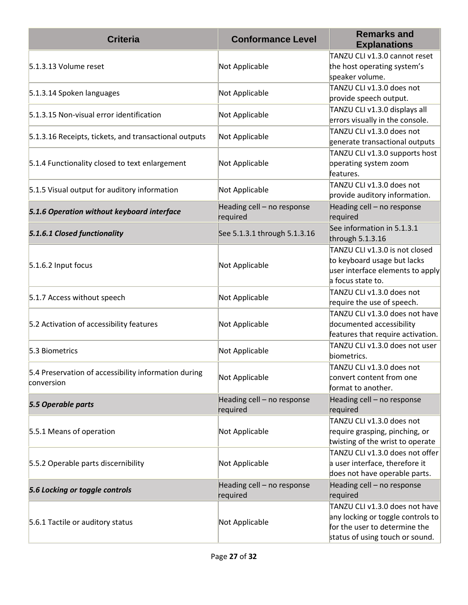| <b>Criteria</b>                                                    | <b>Conformance Level</b>               | <b>Remarks and</b><br><b>Explanations</b>                                                                                               |
|--------------------------------------------------------------------|----------------------------------------|-----------------------------------------------------------------------------------------------------------------------------------------|
| 5.1.3.13 Volume reset                                              | Not Applicable                         | TANZU CLI v1.3.0 cannot reset<br>the host operating system's<br>speaker volume.                                                         |
| 5.1.3.14 Spoken languages                                          | Not Applicable                         | TANZU CLI v1.3.0 does not<br>provide speech output.                                                                                     |
| 5.1.3.15 Non-visual error identification                           | Not Applicable                         | TANZU CLI v1.3.0 displays all<br>errors visually in the console.                                                                        |
| 5.1.3.16 Receipts, tickets, and transactional outputs              | Not Applicable                         | TANZU CLI v1.3.0 does not<br>generate transactional outputs                                                                             |
| 5.1.4 Functionality closed to text enlargement                     | Not Applicable                         | TANZU CLI v1.3.0 supports host<br>operating system zoom<br>features.                                                                    |
| 5.1.5 Visual output for auditory information                       | Not Applicable                         | TANZU CLI v1.3.0 does not<br>provide auditory information.                                                                              |
| 5.1.6 Operation without keyboard interface                         | Heading cell - no response<br>required | Heading cell - no response<br>required                                                                                                  |
| 5.1.6.1 Closed functionality                                       | See 5.1.3.1 through 5.1.3.16           | See information in 5.1.3.1<br>through 5.1.3.16                                                                                          |
| 5.1.6.2 Input focus                                                | Not Applicable                         | TANZU CLI v1.3.0 is not closed<br>to keyboard usage but lacks<br>user interface elements to apply<br>a focus state to.                  |
| 5.1.7 Access without speech                                        | Not Applicable                         | TANZU CLI v1.3.0 does not<br>require the use of speech.                                                                                 |
| 5.2 Activation of accessibility features                           | Not Applicable                         | TANZU CLI v1.3.0 does not have<br>documented accessibility<br>features that require activation.                                         |
| 5.3 Biometrics                                                     | Not Applicable                         | TANZU CLI v1.3.0 does not user<br>biometrics.                                                                                           |
| 5.4 Preservation of accessibility information during<br>conversion | Not Applicable                         | TANZU CLI v1.3.0 does not<br>convert content from one<br>format to another.                                                             |
| 5.5 Operable parts                                                 | Heading cell - no response<br>required | Heading cell - no response<br>required                                                                                                  |
| 5.5.1 Means of operation                                           | Not Applicable                         | TANZU CLI v1.3.0 does not<br>require grasping, pinching, or<br>twisting of the wrist to operate                                         |
| 5.5.2 Operable parts discernibility                                | Not Applicable                         | TANZU CLI v1.3.0 does not offer<br>a user interface, therefore it<br>does not have operable parts.                                      |
| 5.6 Locking or toggle controls                                     | Heading cell - no response<br>required | Heading cell - no response<br>required                                                                                                  |
| 5.6.1 Tactile or auditory status                                   | Not Applicable                         | TANZU CLI v1.3.0 does not have<br>any locking or toggle controls to<br>for the user to determine the<br>status of using touch or sound. |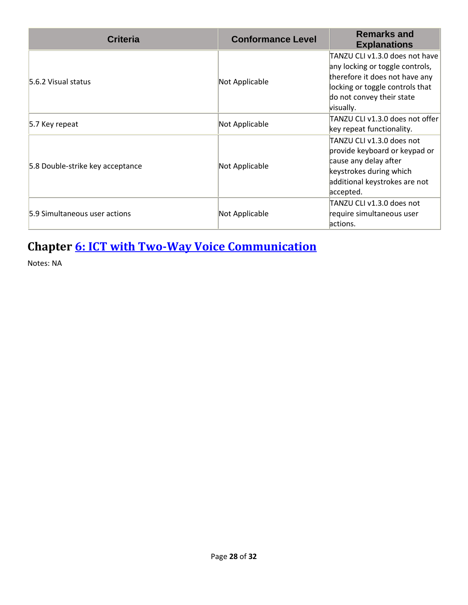| <b>Criteria</b>                  | <b>Conformance Level</b> | <b>Remarks and</b><br><b>Explanations</b>                                                                                                                                        |
|----------------------------------|--------------------------|----------------------------------------------------------------------------------------------------------------------------------------------------------------------------------|
| 5.6.2 Visual status              | Not Applicable           | TANZU CLI v1.3.0 does not have<br>any locking or toggle controls,<br>therefore it does not have any<br>locking or toggle controls that<br>do not convey their state<br>visually. |
| 5.7 Key repeat                   | Not Applicable           | TANZU CLI v1.3.0 does not offer<br>key repeat functionality.                                                                                                                     |
| 5.8 Double-strike key acceptance | Not Applicable           | TANZU CLI v1.3.0 does not<br>provide keyboard or keypad or<br>cause any delay after<br>keystrokes during which<br>additional keystrokes are not<br>accepted.                     |
| 5.9 Simultaneous user actions    | Not Applicable           | TANZU CLI v1.3.0 does not<br>require simultaneous user<br>actions.                                                                                                               |

### **Chapter [6: ICT with Two-Way Voice Communication](https://www.etsi.org/deliver/etsi_en/301500_301599/301549/03.01.01_60/en_301549v030101p.pdf#%5B%7B%22num%22%3A60%2C%22gen%22%3A0%7D%2C%7B%22name%22%3A%22XYZ%22%7D%2C54%2C747%2C0%5D)**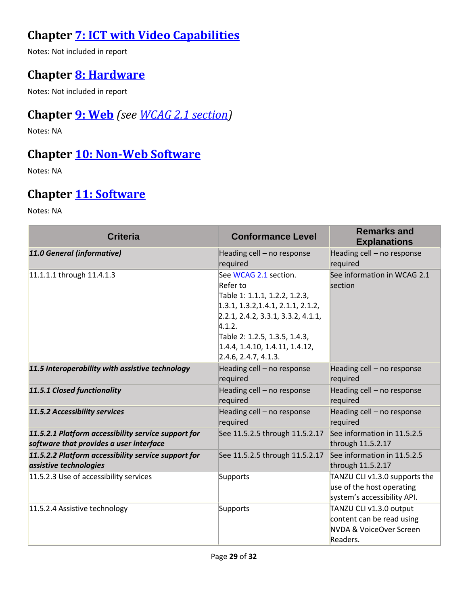#### **Chapter [7: ICT with Video Capabilities](https://www.etsi.org/deliver/etsi_en/301500_301599/301549/03.01.01_60/en_301549v030101p.pdf#%5B%7B%22num%22%3A70%2C%22gen%22%3A0%7D%2C%7B%22name%22%3A%22XYZ%22%7D%2C54%2C747%2C0%5D)**

Notes: Not included in report

#### **Chapter [8: Hardware](https://www.etsi.org/deliver/etsi_en/301500_301599/301549/03.01.01_60/en_301549v030101p.pdf#%5B%7B%22num%22%3A74%2C%22gen%22%3A0%7D%2C%7B%22name%22%3A%22XYZ%22%7D%2C54%2C747%2C0%5D)**

Notes: Not included in report

#### **Chapter [9: Web](https://www.etsi.org/deliver/etsi_en/301500_301599/301549/03.01.01_60/en_301549v030101p.pdf#%5B%7B%22num%22%3A113%2C%22gen%22%3A0%7D%2C%7B%22name%22%3A%22XYZ%22%7D%2C54%2C747%2C0%5D)** *(see [WCAG 2.1](#page-2-0) section)*

Notes: NA

#### **Chapter [10: Non-Web Software](https://www.etsi.org/deliver/etsi_en/301500_301599/301549/03.01.01_60/en_301549v030101p.pdf#%5B%7B%22num%22%3A127%2C%22gen%22%3A0%7D%2C%7B%22name%22%3A%22XYZ%22%7D%2C54%2C747%2C0%5D)**

Notes: NA

#### **Chapter [11: Software](https://www.etsi.org/deliver/etsi_en/301500_301599/301549/03.01.01_60/en_301549v030101p.pdf#%5B%7B%22num%22%3A149%2C%22gen%22%3A0%7D%2C%7B%22name%22%3A%22XYZ%22%7D%2C54%2C747%2C0%5D)**

| <b>Criteria</b>                                                                                | <b>Conformance Level</b>                                                                                                                                                                                                                            | <b>Remarks and</b><br><b>Explanations</b>                                                   |
|------------------------------------------------------------------------------------------------|-----------------------------------------------------------------------------------------------------------------------------------------------------------------------------------------------------------------------------------------------------|---------------------------------------------------------------------------------------------|
| 11.0 General (informative)                                                                     | Heading cell - no response<br>required                                                                                                                                                                                                              | Heading cell - no response<br>required                                                      |
| 11.1.1.1 through 11.4.1.3                                                                      | See WCAG 2.1 section.<br>Refer to<br>Table 1: 1.1.1, 1.2.2, 1.2.3,<br>1.3.1, 1.3.2, 1.4.1, 2.1.1, 2.1.2,<br>2.2.1, 2.4.2, 3.3.1, 3.3.2, 4.1.1,<br>4.1.2.<br>Table 2: 1.2.5, 1.3.5, 1.4.3,<br>1.4.4, 1.4.10, 1.4.11, 1.4.12,<br>2.4.6, 2.4.7, 4.1.3. | See information in WCAG 2.1<br>section                                                      |
| 11.5 Interoperability with assistive technology                                                | Heading cell - no response<br>required                                                                                                                                                                                                              | Heading cell - no response<br>required                                                      |
| 11.5.1 Closed functionality                                                                    | Heading cell - no response<br>required                                                                                                                                                                                                              | Heading cell - no response<br>required                                                      |
| 11.5.2 Accessibility services                                                                  | Heading cell - no response<br>required                                                                                                                                                                                                              | Heading cell - no response<br>required                                                      |
| 11.5.2.1 Platform accessibility service support for<br>software that provides a user interface | See 11.5.2.5 through 11.5.2.17                                                                                                                                                                                                                      | See information in 11.5.2.5<br>through 11.5.2.17                                            |
| 11.5.2.2 Platform accessibility service support for<br>assistive technologies                  | See 11.5.2.5 through 11.5.2.17                                                                                                                                                                                                                      | See information in 11.5.2.5<br>through 11.5.2.17                                            |
| 11.5.2.3 Use of accessibility services                                                         | Supports                                                                                                                                                                                                                                            | TANZU CLI v1.3.0 supports the<br>use of the host operating<br>system's accessibility API.   |
| 11.5.2.4 Assistive technology                                                                  | Supports                                                                                                                                                                                                                                            | TANZU CLI v1.3.0 output<br>content can be read using<br>NVDA & VoiceOver Screen<br>Readers. |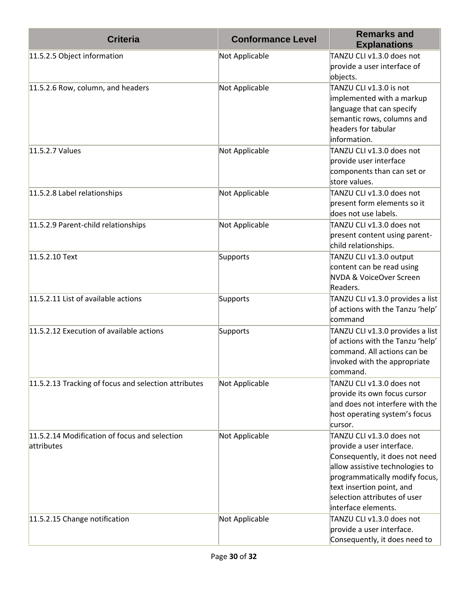| <b>Criteria</b>                                             | <b>Conformance Level</b> | <b>Remarks and</b><br><b>Explanations</b>                                                                                                                                                                                                         |
|-------------------------------------------------------------|--------------------------|---------------------------------------------------------------------------------------------------------------------------------------------------------------------------------------------------------------------------------------------------|
| 11.5.2.5 Object information                                 | Not Applicable           | TANZU CLI v1.3.0 does not<br>provide a user interface of<br>objects.                                                                                                                                                                              |
| 11.5.2.6 Row, column, and headers                           | Not Applicable           | TANZU CLI v1.3.0 is not<br>implemented with a markup<br>language that can specify<br>semantic rows, columns and<br>headers for tabular<br>information.                                                                                            |
| 11.5.2.7 Values                                             | Not Applicable           | TANZU CLI v1.3.0 does not<br>provide user interface<br>components than can set or<br>store values.                                                                                                                                                |
| 11.5.2.8 Label relationships                                | Not Applicable           | TANZU CLI v1.3.0 does not<br>present form elements so it<br>does not use labels.                                                                                                                                                                  |
| 11.5.2.9 Parent-child relationships                         | Not Applicable           | TANZU CLI v1.3.0 does not<br>present content using parent-<br>child relationships.                                                                                                                                                                |
| 11.5.2.10 Text                                              | Supports                 | TANZU CLI v1.3.0 output<br>content can be read using<br>NVDA & VoiceOver Screen<br>Readers.                                                                                                                                                       |
| 11.5.2.11 List of available actions                         | Supports                 | TANZU CLI v1.3.0 provides a list<br>of actions with the Tanzu 'help'<br>command                                                                                                                                                                   |
| 11.5.2.12 Execution of available actions                    | Supports                 | TANZU CLI v1.3.0 provides a list<br>of actions with the Tanzu 'help'<br>command. All actions can be<br>invoked with the appropriate<br>command.                                                                                                   |
| 11.5.2.13 Tracking of focus and selection attributes        | Not Applicable           | TANZU CLI v1.3.0 does not<br>provide its own focus cursor<br>and does not interfere with the<br>host operating system's focus<br>cursor.                                                                                                          |
| 11.5.2.14 Modification of focus and selection<br>attributes | Not Applicable           | TANZU CLI v1.3.0 does not<br>provide a user interface.<br>Consequently, it does not need<br>allow assistive technologies to<br>programmatically modify focus,<br>text insertion point, and<br>selection attributes of user<br>interface elements. |
| 11.5.2.15 Change notification                               | Not Applicable           | TANZU CLI v1.3.0 does not<br>provide a user interface.<br>Consequently, it does need to                                                                                                                                                           |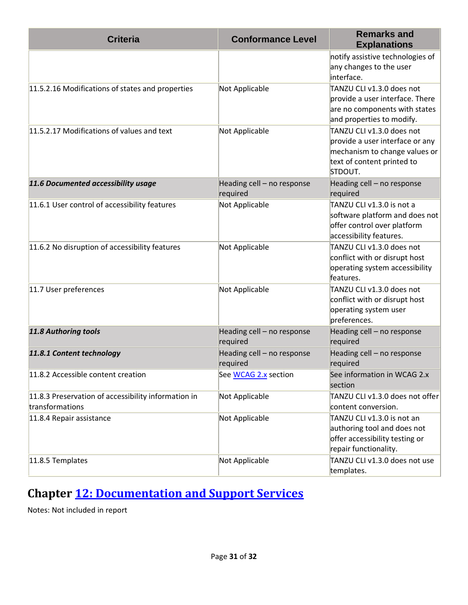| <b>Criteria</b>                                                        | <b>Conformance Level</b>               | <b>Remarks and</b><br><b>Explanations</b>                                                                                              |
|------------------------------------------------------------------------|----------------------------------------|----------------------------------------------------------------------------------------------------------------------------------------|
|                                                                        |                                        | notify assistive technologies of<br>any changes to the user<br>interface.                                                              |
| 11.5.2.16 Modifications of states and properties                       | Not Applicable                         | TANZU CLI v1.3.0 does not<br>provide a user interface. There<br>are no components with states<br>and properties to modify.             |
| 11.5.2.17 Modifications of values and text                             | Not Applicable                         | TANZU CLI v1.3.0 does not<br>provide a user interface or any<br>mechanism to change values or<br>text of content printed to<br>STDOUT. |
| 11.6 Documented accessibility usage                                    | Heading cell - no response<br>required | Heading cell - no response<br>required                                                                                                 |
| 11.6.1 User control of accessibility features                          | Not Applicable                         | TANZU CLI v1.3.0 is not a<br>software platform and does not<br>offer control over platform<br>accessibility features.                  |
| 11.6.2 No disruption of accessibility features                         | Not Applicable                         | TANZU CLI v1.3.0 does not<br>conflict with or disrupt host<br>operating system accessibility<br>features.                              |
| 11.7 User preferences                                                  | Not Applicable                         | TANZU CLI v1.3.0 does not<br>conflict with or disrupt host<br>operating system user<br>preferences.                                    |
| 11.8 Authoring tools                                                   | Heading cell - no response<br>required | Heading cell - no response<br>required                                                                                                 |
| 11.8.1 Content technology                                              | Heading cell - no response<br>required | Heading cell - no response<br>required                                                                                                 |
| 11.8.2 Accessible content creation                                     | See WCAG 2.x section                   | See information in WCAG 2.x<br>section                                                                                                 |
| 11.8.3 Preservation of accessibility information in<br>transformations | Not Applicable                         | TANZU CLI v1.3.0 does not offer<br>content conversion.                                                                                 |
| 11.8.4 Repair assistance                                               | Not Applicable                         | TANZU CLI v1.3.0 is not an<br>authoring tool and does not<br>offer accessibility testing or<br>repair functionality.                   |
| 11.8.5 Templates                                                       | Not Applicable                         | TANZU CLI v1.3.0 does not use<br>templates.                                                                                            |

### **Chapter [12: Documentation and Support Services](https://www.etsi.org/deliver/etsi_en/301500_301599/301549/03.01.01_60/en_301549v030101p.pdf#%5B%7B%22num%22%3A187%2C%22gen%22%3A0%7D%2C%7B%22name%22%3A%22XYZ%22%7D%2C54%2C747%2C0%5D)**

Notes: Not included in report